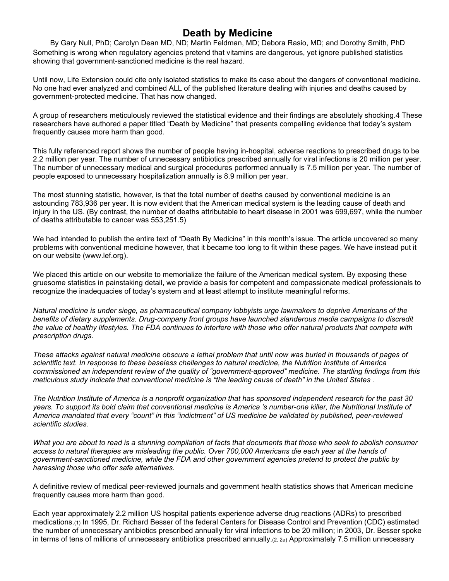# **Death by Medicine**

By Gary Null, PhD; Carolyn Dean MD, ND; Martin Feldman, MD; Debora Rasio, MD; and Dorothy Smith, PhD Something is wrong when regulatory agencies pretend that vitamins are dangerous, yet ignore published statistics showing that government-sanctioned medicine is the real hazard.

Until now, Life Extension could cite only isolated statistics to make its case about the dangers of conventional medicine. No one had ever analyzed and combined ALL of the published literature dealing with injuries and deaths caused by government-protected medicine. That has now changed.

A group of researchers meticulously reviewed the statistical evidence and their findings are absolutely shocking.4 These researchers have authored a paper titled "Death by Medicine" that presents compelling evidence that today's system frequently causes more harm than good.

This fully referenced report shows the number of people having in-hospital, adverse reactions to prescribed drugs to be 2.2 million per year. The number of unnecessary antibiotics prescribed annually for viral infections is 20 million per year. The number of unnecessary medical and surgical procedures performed annually is 7.5 million per year. The number of people exposed to unnecessary hospitalization annually is 8.9 million per year.

The most stunning statistic, however, is that the total number of deaths caused by conventional medicine is an astounding 783,936 per year. It is now evident that the American medical system is the leading cause of death and injury in the US. (By contrast, the number of deaths attributable to heart disease in 2001 was 699,697, while the number of deaths attributable to cancer was 553,251.5)

We had intended to publish the entire text of "Death By Medicine" in this month's issue. The article uncovered so many problems with conventional medicine however, that it became too long to fit within these pages. We have instead put it on our website (www.lef.org).

We placed this article on our website to memorialize the failure of the American medical system. By exposing these gruesome statistics in painstaking detail, we provide a basis for competent and compassionate medical professionals to recognize the inadequacies of today's system and at least attempt to institute meaningful reforms.

*Natural medicine is under siege, as pharmaceutical company lobbyists urge lawmakers to deprive Americans of the*  benefits of dietary supplements. Drug-company front groups have launched slanderous media campaigns to discredit *the value of healthy lifestyles. The FDA continues to interfere with those who offer natural products that compete with prescription drugs.* 

These attacks against natural medicine obscure a lethal problem that until now was buried in thousands of pages of *scientific text. In response to these baseless challenges to natural medicine, the Nutrition Institute of America commissioned an independent review of the quality of "government-approved" medicine. The startling findings from this meticulous study indicate that conventional medicine is "the leading cause of death" in the United States .* 

*The Nutrition Institute of America is a nonprofit organization that has sponsored independent research for the past 30 years. To support its bold claim that conventional medicine is America 's number-one killer, the Nutritional Institute of America mandated that every "count" in this "indictment" of US medicine be validated by published, peer-reviewed scientific studies.* 

*What you are about to read is a stunning compilation of facts that documents that those who seek to abolish consumer access to natural therapies are misleading the public. Over 700,000 Americans die each year at the hands of government-sanctioned medicine, while the FDA and other government agencies pretend to protect the public by harassing those who offer safe alternatives.* 

A definitive review of medical peer-reviewed journals and government health statistics shows that American medicine frequently causes more harm than good.

Each year approximately 2.2 million US hospital patients experience adverse drug reactions (ADRs) to prescribed medications.(1) In 1995, Dr. Richard Besser of the federal Centers for Disease Control and Prevention (CDC) estimated the number of unnecessary antibiotics prescribed annually for viral infections to be 20 million; in 2003, Dr. Besser spoke in terms of tens of millions of unnecessary antibiotics prescribed annually.(2, 2a) Approximately 7.5 million unnecessary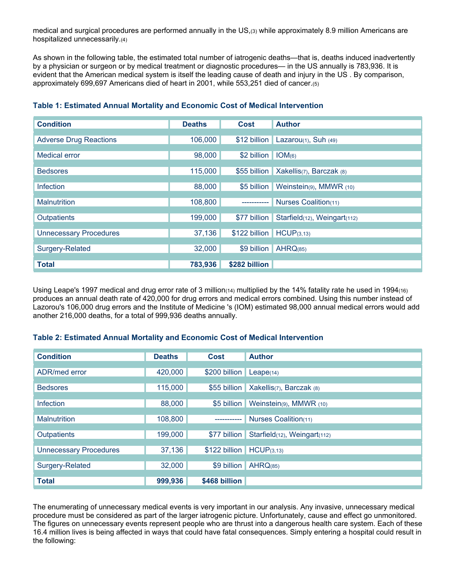medical and surgical procedures are performed annually in the US,(3) while approximately 8.9 million Americans are hospitalized unnecessarily.(4)

As shown in the following table, the estimated total number of iatrogenic deaths—that is, deaths induced inadvertently by a physician or surgeon or by medical treatment or diagnostic procedures— in the US annually is 783,936. It is evident that the American medical system is itself the leading cause of death and injury in the US . By comparison, approximately 699,697 Americans died of heart in 2001, while 553,251 died of cancer.(5)

| <b>Condition</b>              | <b>Deaths</b> | <b>Cost</b>   | <b>Author</b>                           |
|-------------------------------|---------------|---------------|-----------------------------------------|
|                               |               |               |                                         |
| <b>Adverse Drug Reactions</b> | 106,000       | \$12 billion  | Lazarou $(1)$ , Suh $(49)$              |
|                               |               |               |                                         |
| Medical error                 | 98,000        | \$2 billion   | IOM(6)                                  |
|                               |               |               |                                         |
| <b>Bedsores</b>               | 115,000       |               | \$55 billion   Xakellis(7), Barczak (8) |
|                               |               |               |                                         |
| <b>Infection</b>              | 88,000        | \$5 billion   | Weinstein(9), MMWR (10)                 |
|                               |               |               |                                         |
| <b>Malnutrition</b>           | 108,800       |               | <b>Nurses Coalition</b> (11)            |
|                               |               |               |                                         |
| Outpatients                   | 199,000       | \$77 billion  | Starfield(12), Weingart(112)            |
|                               |               |               |                                         |
| <b>Unnecessary Procedures</b> | 37,136        | \$122 billion | HCUP <sub>(3,13)</sub>                  |
|                               |               |               |                                         |
| Surgery-Related               | 32,000        | \$9 billion   | AHRQ <sub>(85)</sub>                    |
|                               |               |               |                                         |
|                               |               |               |                                         |
| <b>Total</b>                  | 783,936       | \$282 billion |                                         |

### **Table 1: Estimated Annual Mortality and Economic Cost of Medical Intervention**

Using Leape's 1997 medical and drug error rate of 3 million( $14$ ) multiplied by the 14% fatality rate he used in 1994( $16$ ) produces an annual death rate of 420,000 for drug errors and medical errors combined. Using this number instead of Lazorou's 106,000 drug errors and the Institute of Medicine 's (IOM) estimated 98,000 annual medical errors would add another 216,000 deaths, for a total of 999,936 deaths annually.

### **Table 2: Estimated Annual Mortality and Economic Cost of Medical Intervention**

| <b>Condition</b>              | <b>Deaths</b> | <b>Cost</b>                 | <b>Author</b>                           |
|-------------------------------|---------------|-----------------------------|-----------------------------------------|
| ADR/med error                 | 420,000       | \$200 billion Leape(14)     |                                         |
|                               |               |                             |                                         |
| <b>Bedsores</b>               | 115,000       |                             | \$55 billion   Xakellis(7), Barczak (8) |
| <b>Infection</b>              | 88,000        | \$5 billion                 | Weinstein(9), MMWR (10)                 |
|                               |               |                             |                                         |
| <b>Malnutrition</b>           | 108,800       |                             | <b>Nurses Coalition(11)</b>             |
|                               |               |                             |                                         |
| Outpatients                   | 199,000       | \$77 billion                | $Startfield(12)$ , Weingart $(112)$     |
| <b>Unnecessary Procedures</b> | 37,136        | $$122$ billion   HCUP(3,13) |                                         |
|                               |               |                             |                                         |
| Surgery-Related               | 32,000        | \$9 billion                 | AHRQ(85)                                |
| <b>Total</b>                  | 999,936       | \$468 billion               |                                         |

The enumerating of unnecessary medical events is very important in our analysis. Any invasive, unnecessary medical procedure must be considered as part of the larger iatrogenic picture. Unfortunately, cause and effect go unmonitored. The figures on unnecessary events represent people who are thrust into a dangerous health care system. Each of these 16.4 million lives is being affected in ways that could have fatal consequences. Simply entering a hospital could result in the following: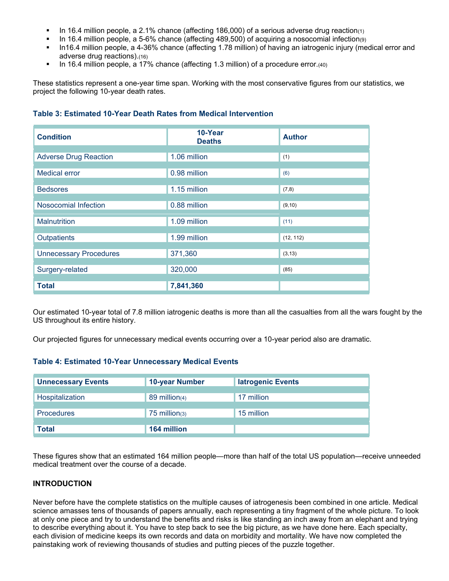- In 16.4 million people, a 2.1% chance (affecting 186,000) of a serious adverse drug reaction(1)
- In 16.4 million people, a 5-6% chance (affecting 489,500) of acquiring a nosocomial infection(9)
- In16.4 million people, a 4-36% chance (affecting 1.78 million) of having an iatrogenic injury (medical error and adverse drug reactions).(16)
- In 16.4 million people, a 17% chance (affecting 1.3 million) of a procedure error.(40)

These statistics represent a one-year time span. Working with the most conservative figures from our statistics, we project the following 10-year death rates.

#### **Table 3: Estimated 10-Year Death Rates from Medical Intervention**

| <b>Condition</b>              | 10-Year<br><b>Deaths</b> | <b>Author</b> |
|-------------------------------|--------------------------|---------------|
|                               |                          |               |
| <b>Adverse Drug Reaction</b>  | 1.06 million             | (1)           |
| <b>Medical error</b>          | 0.98 million             | (6)           |
| <b>Bedsores</b>               | 1.15 million             | (7,8)         |
| Nosocomial Infection          | 0.88 million             | (9, 10)       |
| Malnutrition                  | 1.09 million             | (11)          |
| Outpatients                   | 1.99 million             | (12, 112)     |
| <b>Unnecessary Procedures</b> | 371,360                  | (3, 13)       |
|                               |                          |               |
| Surgery-related               | 320,000                  | (85)          |
|                               |                          |               |
| <b>Total</b>                  | 7,841,360                |               |

Our estimated 10-year total of 7.8 million iatrogenic deaths is more than all the casualties from all the wars fought by the US throughout its entire history.

Our projected figures for unnecessary medical events occurring over a 10-year period also are dramatic.

### **Table 4: Estimated 10-Year Unnecessary Medical Events**

| <b>Unnecessary Events</b> | 10-year Number  | latrogenic Events |
|---------------------------|-----------------|-------------------|
|                           |                 | 17 million        |
| Hospitalization           | 89 million(4)   |                   |
| <b>Procedures</b>         | $75$ million(3) | 15 million        |
|                           |                 |                   |
| <b>Total</b>              | 164 million     |                   |

These figures show that an estimated 164 million people—more than half of the total US population—receive unneeded medical treatment over the course of a decade.

### **INTRODUCTION**

Never before have the complete statistics on the multiple causes of iatrogenesis been combined in one article. Medical science amasses tens of thousands of papers annually, each representing a tiny fragment of the whole picture. To look at only one piece and try to understand the benefits and risks is like standing an inch away from an elephant and trying to describe everything about it. You have to step back to see the big picture, as we have done here. Each specialty, each division of medicine keeps its own records and data on morbidity and mortality. We have now completed the painstaking work of reviewing thousands of studies and putting pieces of the puzzle together.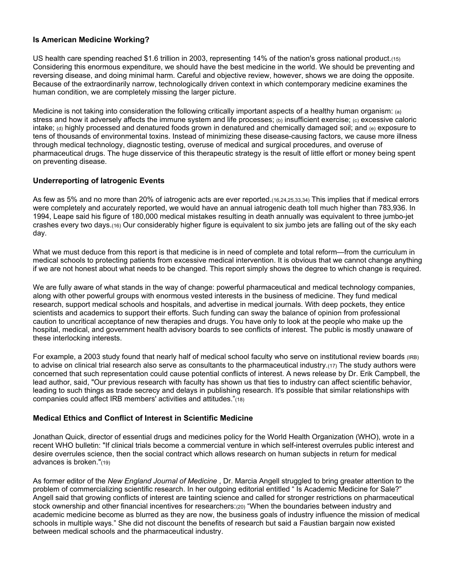#### **Is American Medicine Working?**

US health care spending reached \$1.6 trillion in 2003, representing 14% of the nation's gross national product.(15) Considering this enormous expenditure, we should have the best medicine in the world. We should be preventing and reversing disease, and doing minimal harm. Careful and objective review, however, shows we are doing the opposite. Because of the extraordinarily narrow, technologically driven context in which contemporary medicine examines the human condition, we are completely missing the larger picture.

Medicine is not taking into consideration the following critically important aspects of a healthy human organism: (a) stress and how it adversely affects the immune system and life processes; (b) insufficient exercise; (c) excessive caloric intake; (d) highly processed and denatured foods grown in denatured and chemically damaged soil; and (e) exposure to tens of thousands of environmental toxins. Instead of minimizing these disease-causing factors, we cause more illness through medical technology, diagnostic testing, overuse of medical and surgical procedures, and overuse of pharmaceutical drugs. The huge disservice of this therapeutic strategy is the result of little effort or money being spent on preventing disease.

### **Underreporting of Iatrogenic Events**

As few as 5% and no more than 20% of iatrogenic acts are ever reported.(16,24,25,33,34) This implies that if medical errors were completely and accurately reported, we would have an annual iatrogenic death toll much higher than 783,936. In 1994, Leape said his figure of 180,000 medical mistakes resulting in death annually was equivalent to three jumbo-jet crashes every two days.(16) Our considerably higher figure is equivalent to six jumbo jets are falling out of the sky each day.

What we must deduce from this report is that medicine is in need of complete and total reform—from the curriculum in medical schools to protecting patients from excessive medical intervention. It is obvious that we cannot change anything if we are not honest about what needs to be changed. This report simply shows the degree to which change is required.

We are fully aware of what stands in the way of change: powerful pharmaceutical and medical technology companies, along with other powerful groups with enormous vested interests in the business of medicine. They fund medical research, support medical schools and hospitals, and advertise in medical journals. With deep pockets, they entice scientists and academics to support their efforts. Such funding can sway the balance of opinion from professional caution to uncritical acceptance of new therapies and drugs. You have only to look at the people who make up the hospital, medical, and government health advisory boards to see conflicts of interest. The public is mostly unaware of these interlocking interests.

For example, a 2003 study found that nearly half of medical school faculty who serve on institutional review boards (IRB) to advise on clinical trial research also serve as consultants to the pharmaceutical industry. $(17)$  The study authors were concerned that such representation could cause potential conflicts of interest. A news release by Dr. Erik Campbell, the lead author, said, "Our previous research with faculty has shown us that ties to industry can affect scientific behavior, leading to such things as trade secrecy and delays in publishing research. It's possible that similar relationships with companies could affect IRB members' activities and attitudes."(18)

### **Medical Ethics and Conflict of Interest in Scientific Medicine**

Jonathan Quick, director of essential drugs and medicines policy for the World Health Organization (WHO), wrote in a recent WHO bulletin: "If clinical trials become a commercial venture in which self-interest overrules public interest and desire overrules science, then the social contract which allows research on human subjects in return for medical advances is broken."(19)

As former editor of the *New England Journal of Medicine* , Dr. Marcia Angell struggled to bring greater attention to the problem of commercializing scientific research. In her outgoing editorial entitled " Is Academic Medicine for Sale?" Angell said that growing conflicts of interest are tainting science and called for stronger restrictions on pharmaceutical stock ownership and other financial incentives for researchers:(20) "When the boundaries between industry and academic medicine become as blurred as they are now, the business goals of industry influence the mission of medical schools in multiple ways." She did not discount the benefits of research but said a Faustian bargain now existed between medical schools and the pharmaceutical industry.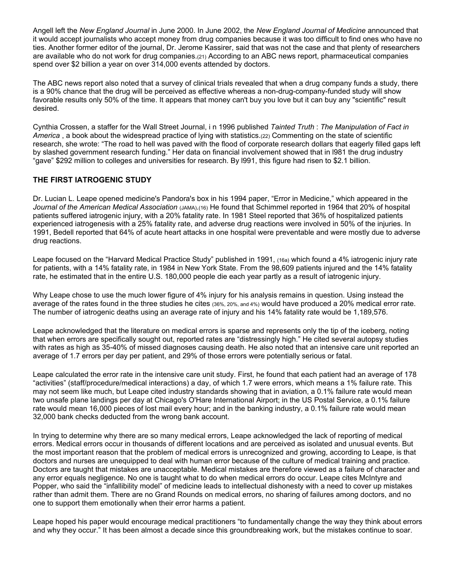Angell left the *New England Journal* in June 2000. In June 2002, the *New England Journal of Medicine* announced that it would accept journalists who accept money from drug companies because it was too difficult to find ones who have no ties. Another former editor of the journal, Dr. Jerome Kassirer, said that was not the case and that plenty of researchers are available who do not work for drug companies.(21) According to an ABC news report, pharmaceutical companies spend over \$2 billion a year on over 314,000 events attended by doctors.

The ABC news report also noted that a survey of clinical trials revealed that when a drug company funds a study, there is a 90% chance that the drug will be perceived as effective whereas a non-drug-company-funded study will show favorable results only 50% of the time. It appears that money can't buy you love but it can buy any "scientific" result desired.

Cynthia Crossen, a staffer for the Wall Street Journal, i n 1996 published *Tainted Truth* : *The Manipulation of Fact in America* , a book about the widespread practice of lying with statistics.(22) Commenting on the state of scientific research, she wrote: "The road to hell was paved with the flood of corporate research dollars that eagerly filled gaps left by slashed government research funding." Her data on financial involvement showed that in l981 the drug industry "gave" \$292 million to colleges and universities for research. By l991, this figure had risen to \$2.1 billion.

### **THE FIRST IATROGENIC STUDY**

Dr. Lucian L. Leape opened medicine's Pandora's box in his 1994 paper, "Error in Medicine," which appeared in the *Journal of the American Medical Association* (JAMA).(16) He found that Schimmel reported in 1964 that 20% of hospital patients suffered iatrogenic injury, with a 20% fatality rate. In 1981 Steel reported that 36% of hospitalized patients experienced iatrogenesis with a 25% fatality rate, and adverse drug reactions were involved in 50% of the injuries. In 1991, Bedell reported that 64% of acute heart attacks in one hospital were preventable and were mostly due to adverse drug reactions.

Leape focused on the "Harvard Medical Practice Study" published in 1991, (16a) which found a 4% iatrogenic injury rate for patients, with a 14% fatality rate, in 1984 in New York State. From the 98,609 patients injured and the 14% fatality rate, he estimated that in the entire U.S. 180,000 people die each year partly as a result of iatrogenic injury.

Why Leape chose to use the much lower figure of 4% injury for his analysis remains in question. Using instead the average of the rates found in the three studies he cites (36%, 20%, and 4%) would have produced a 20% medical error rate. The number of iatrogenic deaths using an average rate of injury and his 14% fatality rate would be 1,189,576.

Leape acknowledged that the literature on medical errors is sparse and represents only the tip of the iceberg, noting that when errors are specifically sought out, reported rates are "distressingly high." He cited several autopsy studies with rates as high as 35-40% of missed diagnoses causing death. He also noted that an intensive care unit reported an average of 1.7 errors per day per patient, and 29% of those errors were potentially serious or fatal.

Leape calculated the error rate in the intensive care unit study. First, he found that each patient had an average of 178 "activities" (staff/procedure/medical interactions) a day, of which 1.7 were errors, which means a 1% failure rate. This may not seem like much, but Leape cited industry standards showing that in aviation, a 0.1% failure rate would mean two unsafe plane landings per day at Chicago's O'Hare International Airport; in the US Postal Service, a 0.1% failure rate would mean 16,000 pieces of lost mail every hour; and in the banking industry, a 0.1% failure rate would mean 32,000 bank checks deducted from the wrong bank account.

In trying to determine why there are so many medical errors, Leape acknowledged the lack of reporting of medical errors. Medical errors occur in thousands of different locations and are perceived as isolated and unusual events. But the most important reason that the problem of medical errors is unrecognized and growing, according to Leape, is that doctors and nurses are unequipped to deal with human error because of the culture of medical training and practice. Doctors are taught that mistakes are unacceptable. Medical mistakes are therefore viewed as a failure of character and any error equals negligence. No one is taught what to do when medical errors do occur. Leape cites McIntyre and Popper, who said the "infallibility model" of medicine leads to intellectual dishonesty with a need to cover up mistakes rather than admit them. There are no Grand Rounds on medical errors, no sharing of failures among doctors, and no one to support them emotionally when their error harms a patient.

Leape hoped his paper would encourage medical practitioners "to fundamentally change the way they think about errors and why they occur." It has been almost a decade since this groundbreaking work, but the mistakes continue to soar.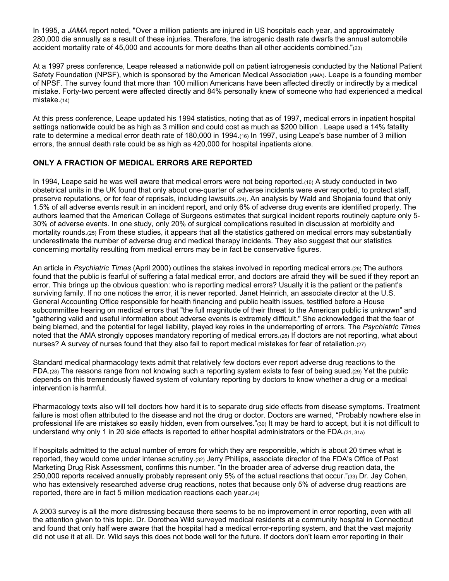In 1995, a *JAMA* report noted, "Over a million patients are injured in US hospitals each year, and approximately 280,000 die annually as a result of these injuries. Therefore, the iatrogenic death rate dwarfs the annual automobile accident mortality rate of 45,000 and accounts for more deaths than all other accidents combined."(23)

At a 1997 press conference, Leape released a nationwide poll on patient iatrogenesis conducted by the National Patient Safety Foundation (NPSF), which is sponsored by the American Medical Association (AMA). Leape is a founding member of NPSF. The survey found that more than 100 million Americans have been affected directly or indirectly by a medical mistake. Forty-two percent were affected directly and 84% personally knew of someone who had experienced a medical mistake.(14)

At this press conference, Leape updated his 1994 statistics, noting that as of 1997, medical errors in inpatient hospital settings nationwide could be as high as 3 million and could cost as much as \$200 billion . Leape used a 14% fatality rate to determine a medical error death rate of 180,000 in 1994.(16) In 1997, using Leape's base number of 3 million errors, the annual death rate could be as high as 420,000 for hospital inpatients alone.

### **ONLY A FRACTION OF MEDICAL ERRORS ARE REPORTED**

In 1994, Leape said he was well aware that medical errors were not being reported.(16) A study conducted in two obstetrical units in the UK found that only about one-quarter of adverse incidents were ever reported, to protect staff, preserve reputations, or for fear of reprisals, including lawsuits.(24). An analysis by Wald and Shojania found that only 1.5% of all adverse events result in an incident report, and only 6% of adverse drug events are identified properly. The authors learned that the American College of Surgeons estimates that surgical incident reports routinely capture only 5- 30% of adverse events. In one study, only 20% of surgical complications resulted in discussion at morbidity and mortality rounds.(25) From these studies, it appears that all the statistics gathered on medical errors may substantially underestimate the number of adverse drug and medical therapy incidents. They also suggest that our statistics concerning mortality resulting from medical errors may be in fact be conservative figures.

An article in *Psychiatric Times* (April 2000) outlines the stakes involved in reporting medical errors.(26) The authors found that the public is fearful of suffering a fatal medical error, and doctors are afraid they will be sued if they report an error. This brings up the obvious question: who is reporting medical errors? Usually it is the patient or the patient's surviving family. If no one notices the error, it is never reported. Janet Heinrich, an associate director at the U.S. General Accounting Office responsible for health financing and public health issues, testified before a House subcommittee hearing on medical errors that "the full magnitude of their threat to the American public is unknown" and "gathering valid and useful information about adverse events is extremely difficult." She acknowledged that the fear of being blamed, and the potential for legal liability, played key roles in the underreporting of errors. The *Psychiatric Times*  noted that the AMA strongly opposes mandatory reporting of medical errors.(26) If doctors are not reporting, what about nurses? A survey of nurses found that they also fail to report medical mistakes for fear of retaliation.(27)

Standard medical pharmacology texts admit that relatively few doctors ever report adverse drug reactions to the FDA.(28) The reasons range from not knowing such a reporting system exists to fear of being sued.(29) Yet the public depends on this tremendously flawed system of voluntary reporting by doctors to know whether a drug or a medical intervention is harmful.

Pharmacology texts also will tell doctors how hard it is to separate drug side effects from disease symptoms. Treatment failure is most often attributed to the disease and not the drug or doctor. Doctors are warned, "Probably nowhere else in professional life are mistakes so easily hidden, even from ourselves."(30) It may be hard to accept, but it is not difficult to understand why only 1 in 20 side effects is reported to either hospital administrators or the FDA.(31, 31a)

If hospitals admitted to the actual number of errors for which they are responsible, which is about 20 times what is reported, they would come under intense scrutiny.(32) Jerry Phillips, associate director of the FDA's Office of Post Marketing Drug Risk Assessment, confirms this number. "In the broader area of adverse drug reaction data, the 250,000 reports received annually probably represent only 5% of the actual reactions that occur."(33) Dr. Jay Cohen, who has extensively researched adverse drug reactions, notes that because only 5% of adverse drug reactions are reported, there are in fact 5 million medication reactions each year.(34)

A 2003 survey is all the more distressing because there seems to be no improvement in error reporting, even with all the attention given to this topic. Dr. Dorothea Wild surveyed medical residents at a community hospital in Connecticut and found that only half were aware that the hospital had a medical error-reporting system, and that the vast majority did not use it at all. Dr. Wild says this does not bode well for the future. If doctors don't learn error reporting in their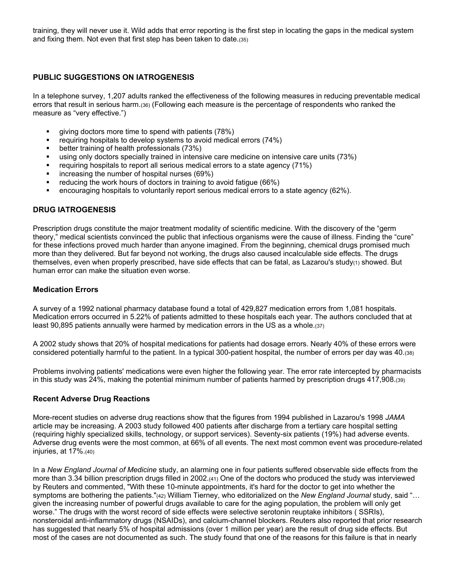training, they will never use it. Wild adds that error reporting is the first step in locating the gaps in the medical system and fixing them. Not even that first step has been taken to date.(35)

### **PUBLIC SUGGESTIONS ON IATROGENESIS**

In a telephone survey, 1,207 adults ranked the effectiveness of the following measures in reducing preventable medical errors that result in serious harm.(36) (Following each measure is the percentage of respondents who ranked the measure as "very effective.")

- giving doctors more time to spend with patients (78%)
- requiring hospitals to develop systems to avoid medical errors (74%)
- **better training of health professionals (73%)**
- using only doctors specially trained in intensive care medicine on intensive care units (73%)
- requiring hospitals to report all serious medical errors to a state agency (71%)
- increasing the number of hospital nurses (69%)
- reducing the work hours of doctors in training to avoid fatigue (66%)
- encouraging hospitals to voluntarily report serious medical errors to a state agency (62%).

#### **DRUG IATROGENESIS**

Prescription drugs constitute the major treatment modality of scientific medicine. With the discovery of the "germ theory," medical scientists convinced the public that infectious organisms were the cause of illness. Finding the "cure" for these infections proved much harder than anyone imagined. From the beginning, chemical drugs promised much more than they delivered. But far beyond not working, the drugs also caused incalculable side effects. The drugs themselves, even when properly prescribed, have side effects that can be fatal, as Lazarou's study(1) showed. But human error can make the situation even worse.

#### **Medication Errors**

A survey of a 1992 national pharmacy database found a total of 429,827 medication errors from 1,081 hospitals. Medication errors occurred in 5.22% of patients admitted to these hospitals each year. The authors concluded that at least 90,895 patients annually were harmed by medication errors in the US as a whole.(37)

A 2002 study shows that 20% of hospital medications for patients had dosage errors. Nearly 40% of these errors were considered potentially harmful to the patient. In a typical 300-patient hospital, the number of errors per day was 40.(38)

Problems involving patients' medications were even higher the following year. The error rate intercepted by pharmacists in this study was 24%, making the potential minimum number of patients harmed by prescription drugs 417,908.(39)

### **Recent Adverse Drug Reactions**

More-recent studies on adverse drug reactions show that the figures from 1994 published in Lazarou's 1998 *JAMA*  article may be increasing. A 2003 study followed 400 patients after discharge from a tertiary care hospital setting (requiring highly specialized skills, technology, or support services). Seventy-six patients (19%) had adverse events. Adverse drug events were the most common, at 66% of all events. The next most common event was procedure-related injuries, at 17%.(40)

In a *New England Journal of Medicine* study, an alarming one in four patients suffered observable side effects from the more than 3.34 billion prescription drugs filled in 2002.(41) One of the doctors who produced the study was interviewed by Reuters and commented, "With these 10-minute appointments, it's hard for the doctor to get into whether the symptoms are bothering the patients."(42) William Tierney, who editorialized on the *New England Journal* study, said "… given the increasing number of powerful drugs available to care for the aging population, the problem will only get worse." The drugs with the worst record of side effects were selective serotonin reuptake inhibitors ( SSRIs), nonsteroidal anti-inflammatory drugs (NSAIDs), and calcium-channel blockers. Reuters also reported that prior research has suggested that nearly 5% of hospital admissions (over 1 million per year) are the result of drug side effects. But most of the cases are not documented as such. The study found that one of the reasons for this failure is that in nearly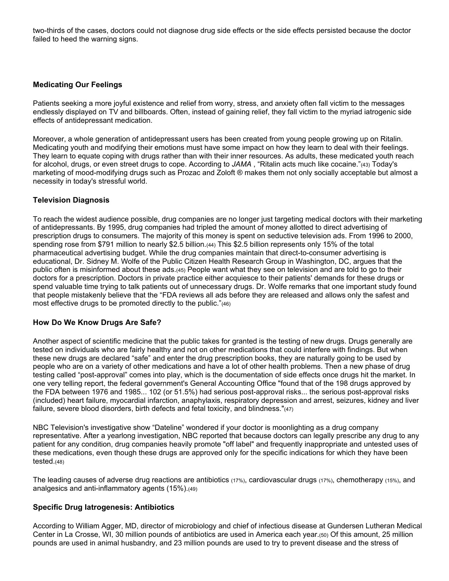two-thirds of the cases, doctors could not diagnose drug side effects or the side effects persisted because the doctor failed to heed the warning signs.

### **Medicating Our Feelings**

Patients seeking a more joyful existence and relief from worry, stress, and anxiety often fall victim to the messages endlessly displayed on TV and billboards. Often, instead of gaining relief, they fall victim to the myriad iatrogenic side effects of antidepressant medication.

Moreover, a whole generation of antidepressant users has been created from young people growing up on Ritalin. Medicating youth and modifying their emotions must have some impact on how they learn to deal with their feelings. They learn to equate coping with drugs rather than with their inner resources. As adults, these medicated youth reach for alcohol, drugs, or even street drugs to cope. According to *JAMA* , "Ritalin acts much like cocaine."(43) Today's marketing of mood-modifying drugs such as Prozac and Zoloft ® makes them not only socially acceptable but almost a necessity in today's stressful world.

### **Television Diagnosis**

To reach the widest audience possible, drug companies are no longer just targeting medical doctors with their marketing of antidepressants. By 1995, drug companies had tripled the amount of money allotted to direct advertising of prescription drugs to consumers. The majority of this money is spent on seductive television ads. From 1996 to 2000, spending rose from \$791 million to nearly \$2.5 billion.(44) This \$2.5 billion represents only 15% of the total pharmaceutical advertising budget. While the drug companies maintain that direct-to-consumer advertising is educational, Dr. Sidney M. Wolfe of the Public Citizen Health Research Group in Washington, DC, argues that the public often is misinformed about these ads.(45) People want what they see on television and are told to go to their doctors for a prescription. Doctors in private practice either acquiesce to their patients' demands for these drugs or spend valuable time trying to talk patients out of unnecessary drugs. Dr. Wolfe remarks that one important study found that people mistakenly believe that the "FDA reviews all ads before they are released and allows only the safest and most effective drugs to be promoted directly to the public."(46)

### **How Do We Know Drugs Are Safe?**

Another aspect of scientific medicine that the public takes for granted is the testing of new drugs. Drugs generally are tested on individuals who are fairly healthy and not on other medications that could interfere with findings. But when these new drugs are declared "safe" and enter the drug prescription books, they are naturally going to be used by people who are on a variety of other medications and have a lot of other health problems. Then a new phase of drug testing called "post-approval" comes into play, which is the documentation of side effects once drugs hit the market. In one very telling report, the federal government's General Accounting Office "found that of the 198 drugs approved by the FDA between 1976 and 1985... 102 (or 51.5%) had serious post-approval risks... the serious post-approval risks (included) heart failure, myocardial infarction, anaphylaxis, respiratory depression and arrest, seizures, kidney and liver failure, severe blood disorders, birth defects and fetal toxicity, and blindness."(47)

NBC Television's investigative show "Dateline" wondered if your doctor is moonlighting as a drug company representative. After a yearlong investigation, NBC reported that because doctors can legally prescribe any drug to any patient for any condition, drug companies heavily promote "off label" and frequently inappropriate and untested uses of these medications, even though these drugs are approved only for the specific indications for which they have been tested.(48)

The leading causes of adverse drug reactions are antibiotics (17%), cardiovascular drugs (17%), chemotherapy (15%), and analgesics and anti-inflammatory agents (15%).(49)

### **Specific Drug Iatrogenesis: Antibiotics**

According to William Agger, MD, director of microbiology and chief of infectious disease at Gundersen Lutheran Medical Center in La Crosse, WI, 30 million pounds of antibiotics are used in America each year.(50) Of this amount, 25 million pounds are used in animal husbandry, and 23 million pounds are used to try to prevent disease and the stress of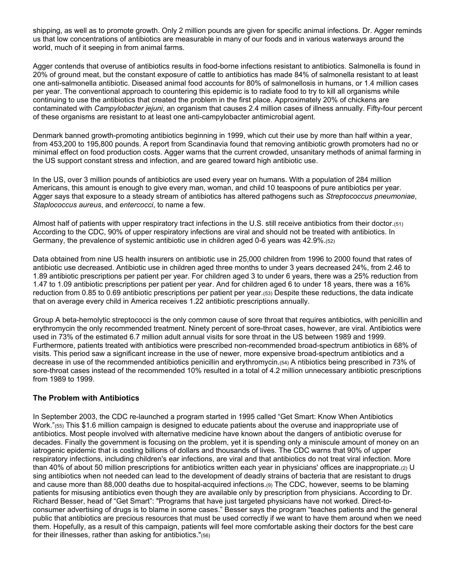shipping, as well as to promote growth. Only 2 million pounds are given for specific animal infections. Dr. Agger reminds us that low concentrations of antibiotics are measurable in many of our foods and in various waterways around the world, much of it seeping in from animal farms.

Agger contends that overuse of antibiotics results in food-borne infections resistant to antibiotics. Salmonella is found in 20% of ground meat, but the constant exposure of cattle to antibiotics has made 84% of salmonella resistant to at least one anti-salmonella antibiotic. Diseased animal food accounts for 80% of salmonellosis in humans, or 1.4 million cases per year. The conventional approach to countering this epidemic is to radiate food to try to kill all organisms while continuing to use the antibiotics that created the problem in the first place. Approximately 20% of chickens are contaminated with *Campylobacter jejuni*, an organism that causes 2.4 million cases of illness annually. Fifty-four percent of these organisms are resistant to at least one anti-campylobacter antimicrobial agent.

Denmark banned growth-promoting antibiotics beginning in 1999, which cut their use by more than half within a year, from 453,200 to 195,800 pounds. A report from Scandinavia found that removing antibiotic growth promoters had no or minimal effect on food production costs. Agger warns that the current crowded, unsanitary methods of animal farming in the US support constant stress and infection, and are geared toward high antibiotic use.

In the US, over 3 million pounds of antibiotics are used every year on humans. With a population of 284 million Americans, this amount is enough to give every man, woman, and child 10 teaspoons of pure antibiotics per year. Agger says that exposure to a steady stream of antibiotics has altered pathogens such as *Streptococcus pneumoniae*, *Staplococcus aureus*, and *entercocci*, to name a few.

Almost half of patients with upper respiratory tract infections in the U.S. still receive antibiotics from their doctor.(51) According to the CDC, 90% of upper respiratory infections are viral and should not be treated with antibiotics. In Germany, the prevalence of systemic antibiotic use in children aged 0-6 years was 42.9%.(52)

Data obtained from nine US health insurers on antibiotic use in 25,000 children from 1996 to 2000 found that rates of antibiotic use decreased. Antibiotic use in children aged three months to under 3 years decreased 24%, from 2.46 to 1.89 antibiotic prescriptions per patient per year. For children aged 3 to under 6 years, there was a 25% reduction from 1.47 to 1.09 antibiotic prescriptions per patient per year. And for children aged 6 to under 18 years, there was a 16% reduction from 0.85 to 0.69 antibiotic prescriptions per patient per year.(53) Despite these reductions, the data indicate that on average every child in America receives 1.22 antibiotic prescriptions annually.

Group A beta-hemolytic streptococci is the only common cause of sore throat that requires antibiotics, with penicillin and erythromycin the only recommended treatment. Ninety percent of sore-throat cases, however, are viral. Antibiotics were used in 73% of the estimated 6.7 million adult annual visits for sore throat in the US between 1989 and 1999. Furthermore, patients treated with antibiotics were prescribed non-recommended broad-spectrum antibiotics in 68% of visits. This period saw a significant increase in the use of newer, more expensive broad-spectrum antibiotics and a decrease in use of the recommended antibiotics penicillin and erythromycin.(54) A ntibiotics being prescribed in 73% of sore-throat cases instead of the recommended 10% resulted in a total of 4.2 million unnecessary antibiotic prescriptions from 1989 to 1999.

### **The Problem with Antibiotics**

In September 2003, the CDC re-launched a program started in 1995 called "Get Smart: Know When Antibiotics Work."(55) This \$1.6 million campaign is designed to educate patients about the overuse and inappropriate use of antibiotics. Most people involved with alternative medicine have known about the dangers of antibiotic overuse for decades. Finally the government is focusing on the problem, yet it is spending only a miniscule amount of money on an iatrogenic epidemic that is costing billions of dollars and thousands of lives. The CDC warns that 90% of upper respiratory infections, including children's ear infections, are viral and that antibiotics do not treat viral infection. More than 40% of about 50 million prescriptions for antibiotics written each year in physicians' offices are inappropriate.(2) U sing antibiotics when not needed can lead to the development of deadly strains of bacteria that are resistant to drugs and cause more than 88,000 deaths due to hospital-acquired infections.(9) The CDC, however, seems to be blaming patients for misusing antibiotics even though they are available only by prescription from physicians. According to Dr. Richard Besser, head of "Get Smart": "Programs that have just targeted physicians have not worked. Direct-toconsumer advertising of drugs is to blame in some cases." Besser says the program "teaches patients and the general public that antibiotics are precious resources that must be used correctly if we want to have them around when we need them. Hopefully, as a result of this campaign, patients will feel more comfortable asking their doctors for the best care for their illnesses, rather than asking for antibiotics."(56)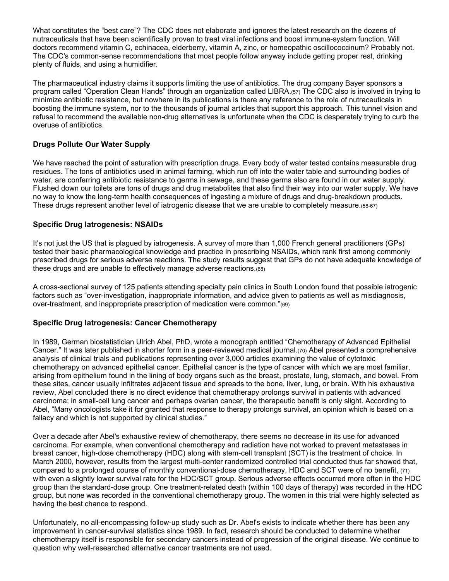What constitutes the "best care"? The CDC does not elaborate and ignores the latest research on the dozens of nutraceuticals that have been scientifically proven to treat viral infections and boost immune-system function. Will doctors recommend vitamin C, echinacea, elderberry, vitamin A, zinc, or homeopathic oscillococcinum? Probably not. The CDC's common-sense recommendations that most people follow anyway include getting proper rest, drinking plenty of fluids, and using a humidifier.

The pharmaceutical industry claims it supports limiting the use of antibiotics. The drug company Bayer sponsors a program called "Operation Clean Hands" through an organization called LIBRA.(57) The CDC also is involved in trying to minimize antibiotic resistance, but nowhere in its publications is there any reference to the role of nutraceuticals in boosting the immune system, nor to the thousands of journal articles that support this approach. This tunnel vision and refusal to recommend the available non-drug alternatives is unfortunate when the CDC is desperately trying to curb the overuse of antibiotics.

### **Drugs Pollute Our Water Supply**

We have reached the point of saturation with prescription drugs. Every body of water tested contains measurable drug residues. The tons of antibiotics used in animal farming, which run off into the water table and surrounding bodies of water, are conferring antibiotic resistance to germs in sewage, and these germs also are found in our water supply. Flushed down our toilets are tons of drugs and drug metabolites that also find their way into our water supply. We have no way to know the long-term health consequences of ingesting a mixture of drugs and drug-breakdown products. These drugs represent another level of iatrogenic disease that we are unable to completely measure.(58-67)

### **Specific Drug Iatrogenesis: NSAIDs**

It's not just the US that is plagued by iatrogenesis. A survey of more than 1,000 French general practitioners (GPs) tested their basic pharmacological knowledge and practice in prescribing NSAIDs, which rank first among commonly prescribed drugs for serious adverse reactions. The study results suggest that GPs do not have adequate knowledge of these drugs and are unable to effectively manage adverse reactions.(68)

A cross-sectional survey of 125 patients attending specialty pain clinics in South London found that possible iatrogenic factors such as "over-investigation, inappropriate information, and advice given to patients as well as misdiagnosis, over-treatment, and inappropriate prescription of medication were common."(69)

### **Specific Drug Iatrogenesis: Cancer Chemotherapy**

In 1989, German biostatistician Ulrich Abel, PhD, wrote a monograph entitled "Chemotherapy of Advanced Epithelial Cancer." It was later published in shorter form in a peer-reviewed medical journal.(70) Abel presented a comprehensive analysis of clinical trials and publications representing over 3,000 articles examining the value of cytotoxic chemotherapy on advanced epithelial cancer. Epithelial cancer is the type of cancer with which we are most familiar, arising from epithelium found in the lining of body organs such as the breast, prostate, lung, stomach, and bowel. From these sites, cancer usually infiltrates adjacent tissue and spreads to the bone, liver, lung, or brain. With his exhaustive review, Abel concluded there is no direct evidence that chemotherapy prolongs survival in patients with advanced carcinoma; in small-cell lung cancer and perhaps ovarian cancer, the therapeutic benefit is only slight. According to Abel, "Many oncologists take it for granted that response to therapy prolongs survival, an opinion which is based on a fallacy and which is not supported by clinical studies."

Over a decade after Abel's exhaustive review of chemotherapy, there seems no decrease in its use for advanced carcinoma. For example, when conventional chemotherapy and radiation have not worked to prevent metastases in breast cancer, high-dose chemotherapy (HDC) along with stem-cell transplant (SCT) is the treatment of choice. In March 2000, however, results from the largest multi-center randomized controlled trial conducted thus far showed that, compared to a prolonged course of monthly conventional-dose chemotherapy, HDC and SCT were of no benefit, (71) with even a slightly lower survival rate for the HDC/SCT group. Serious adverse effects occurred more often in the HDC group than the standard-dose group. One treatment-related death (within 100 days of therapy) was recorded in the HDC group, but none was recorded in the conventional chemotherapy group. The women in this trial were highly selected as having the best chance to respond.

Unfortunately, no all-encompassing follow-up study such as Dr. Abel's exists to indicate whether there has been any improvement in cancer-survival statistics since 1989. In fact, research should be conducted to determine whether chemotherapy itself is responsible for secondary cancers instead of progression of the original disease. We continue to question why well-researched alternative cancer treatments are not used.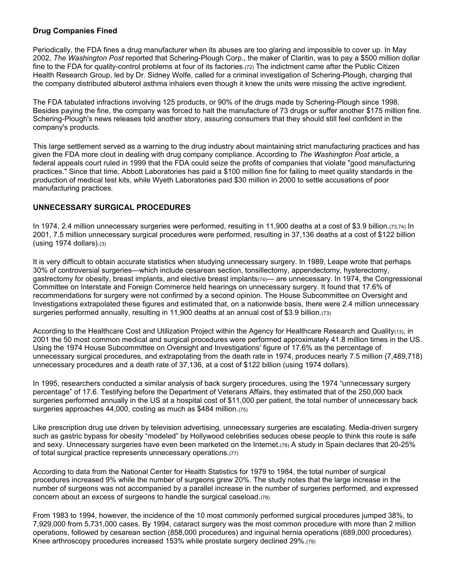### **Drug Companies Fined**

Periodically, the FDA fines a drug manufacturer when its abuses are too glaring and impossible to cover up. In May 2002, *The Washington Post* reported that Schering-Plough Corp., the maker of Claritin, was to pay a \$500 million dollar fine to the FDA for quality-control problems at four of its factories.(72) The indictment came after the Public Citizen Health Research Group, led by Dr. Sidney Wolfe, called for a criminal investigation of Schering-Plough, charging that the company distributed albuterol asthma inhalers even though it knew the units were missing the active ingredient.

The FDA tabulated infractions involving 125 products, or 90% of the drugs made by Schering-Plough since 1998. Besides paying the fine, the company was forced to halt the manufacture of 73 drugs or suffer another \$175 million fine. Schering-Plough's news releases told another story, assuring consumers that they should still feel confident in the company's products.

This large settlement served as a warning to the drug industry about maintaining strict manufacturing practices and has given the FDA more clout in dealing with drug company compliance. According to *The Washington Post* article, a federal appeals court ruled in 1999 that the FDA could seize the profits of companies that violate "good manufacturing practices." Since that time, Abbott Laboratories has paid a \$100 million fine for failing to meet quality standards in the production of medical test kits, while Wyeth Laboratories paid \$30 million in 2000 to settle accusations of poor manufacturing practices.

### **UNNECESSARY SURGICAL PROCEDURES**

In 1974, 2.4 million unnecessary surgeries were performed, resulting in 11,900 deaths at a cost of \$3.9 billion.(73,74) In 2001, 7.5 million unnecessary surgical procedures were performed, resulting in 37,136 deaths at a cost of \$122 billion (using 1974 dollars).(3)

It is very difficult to obtain accurate statistics when studying unnecessary surgery. In 1989, Leape wrote that perhaps 30% of controversial surgeries—which include cesarean section, tonsillectomy, appendectomy, hysterectomy, gastrectomy for obesity, breast implants, and elective breast implants(74)— are unnecessary. In 1974, the Congressional Committee on Interstate and Foreign Commerce held hearings on unnecessary surgery. It found that 17.6% of recommendations for surgery were not confirmed by a second opinion. The House Subcommittee on Oversight and Investigations extrapolated these figures and estimated that, on a nationwide basis, there were 2.4 million unnecessary surgeries performed annually, resulting in 11,900 deaths at an annual cost of \$3.9 billion.(73)

According to the Healthcare Cost and Utilization Project within the Agency for Healthcare Research and Quality(13), in 2001 the 50 most common medical and surgical procedures were performed approximately 41.8 million times in the US. Using the 1974 House Subcommittee on Oversight and Investigations' figure of 17.6% as the percentage of unnecessary surgical procedures, and extrapolating from the death rate in 1974, produces nearly 7.5 million (7,489,718) unnecessary procedures and a death rate of 37,136, at a cost of \$122 billion (using 1974 dollars).

In 1995, researchers conducted a similar analysis of back surgery procedures, using the 1974 "unnecessary surgery percentage" of 17.6. Testifying before the Department of Veterans Affairs, they estimated that of the 250,000 back surgeries performed annually in the US at a hospital cost of \$11,000 per patient, the total number of unnecessary back surgeries approaches 44,000, costing as much as \$484 million.(75)

Like prescription drug use driven by television advertising, unnecessary surgeries are escalating. Media-driven surgery such as gastric bypass for obesity "modeled" by Hollywood celebrities seduces obese people to think this route is safe and sexy. Unnecessary surgeries have even been marketed on the Internet.(76) A study in Spain declares that 20-25% of total surgical practice represents unnecessary operations.(77)

According to data from the National Center for Health Statistics for 1979 to 1984, the total number of surgical procedures increased 9% while the number of surgeons grew 20%. The study notes that the large increase in the number of surgeons was not accompanied by a parallel increase in the number of surgeries performed, and expressed concern about an excess of surgeons to handle the surgical caseload.(78)

From 1983 to 1994, however, the incidence of the 10 most commonly performed surgical procedures jumped 38%, to 7,929,000 from 5,731,000 cases. By 1994, cataract surgery was the most common procedure with more than 2 million operations, followed by cesarean section (858,000 procedures) and inguinal hernia operations (689,000 procedures). Knee arthroscopy procedures increased 153% while prostate surgery declined 29%.(79)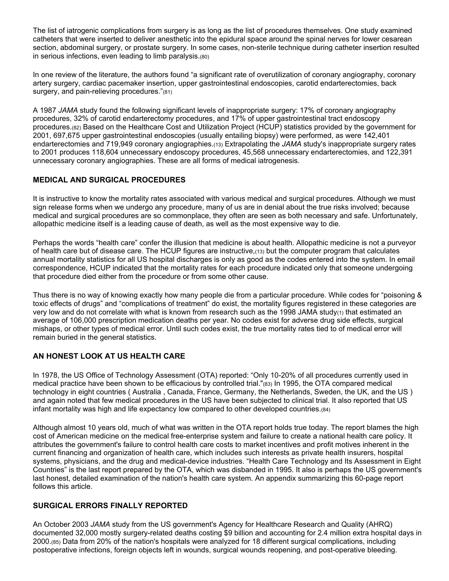The list of iatrogenic complications from surgery is as long as the list of procedures themselves. One study examined catheters that were inserted to deliver anesthetic into the epidural space around the spinal nerves for lower cesarean section, abdominal surgery, or prostate surgery. In some cases, non-sterile technique during catheter insertion resulted in serious infections, even leading to limb paralysis.(80)

In one review of the literature, the authors found "a significant rate of overutilization of coronary angiography, coronary artery surgery, cardiac pacemaker insertion, upper gastrointestinal endoscopies, carotid endarterectomies, back surgery, and pain-relieving procedures."(81)

A 1987 *JAMA* study found the following significant levels of inappropriate surgery: 17% of coronary angiography procedures, 32% of carotid endarterectomy procedures, and 17% of upper gastrointestinal tract endoscopy procedures.(82) Based on the Healthcare Cost and Utilization Project (HCUP) statistics provided by the government for 2001, 697,675 upper gastrointestinal endoscopies (usually entailing biopsy) were performed, as were 142,401 endarterectomies and 719,949 coronary angiographies.(13) Extrapolating the *JAMA* study's inappropriate surgery rates to 2001 produces 118,604 unnecessary endoscopy procedures, 45,568 unnecessary endarterectomies, and 122,391 unnecessary coronary angiographies. These are all forms of medical iatrogenesis.

### **MEDICAL AND SURGICAL PROCEDURES**

It is instructive to know the mortality rates associated with various medical and surgical procedures. Although we must sign release forms when we undergo any procedure, many of us are in denial about the true risks involved; because medical and surgical procedures are so commonplace, they often are seen as both necessary and safe. Unfortunately, allopathic medicine itself is a leading cause of death, as well as the most expensive way to die.

Perhaps the words "health care" confer the illusion that medicine is about health. Allopathic medicine is not a purveyor of health care but of disease care. The HCUP figures are instructive,(13) but the computer program that calculates annual mortality statistics for all US hospital discharges is only as good as the codes entered into the system. In email correspondence, HCUP indicated that the mortality rates for each procedure indicated only that someone undergoing that procedure died either from the procedure or from some other cause.

Thus there is no way of knowing exactly how many people die from a particular procedure. While codes for "poisoning & toxic effects of drugs" and "complications of treatment" do exist, the mortality figures registered in these categories are very low and do not correlate with what is known from research such as the 1998 JAMA study(1) that estimated an average of 106,000 prescription medication deaths per year. No codes exist for adverse drug side effects, surgical mishaps, or other types of medical error. Until such codes exist, the true mortality rates tied to of medical error will remain buried in the general statistics.

### **AN HONEST LOOK AT US HEALTH CARE**

In 1978, the US Office of Technology Assessment (OTA) reported: "Only 10-20% of all procedures currently used in medical practice have been shown to be efficacious by controlled trial."(83) In 1995, the OTA compared medical technology in eight countries ( Australia , Canada, France, Germany, the Netherlands, Sweden, the UK, and the US ) and again noted that few medical procedures in the US have been subjected to clinical trial. It also reported that US infant mortality was high and life expectancy low compared to other developed countries.(84)

Although almost 10 years old, much of what was written in the OTA report holds true today. The report blames the high cost of American medicine on the medical free-enterprise system and failure to create a national health care policy. It attributes the government's failure to control health care costs to market incentives and profit motives inherent in the current financing and organization of health care, which includes such interests as private health insurers, hospital systems, physicians, and the drug and medical-device industries. "Health Care Technology and Its Assessment in Eight Countries" is the last report prepared by the OTA, which was disbanded in 1995. It also is perhaps the US government's last honest, detailed examination of the nation's health care system. An appendix summarizing this 60-page report follows this article.

### **SURGICAL ERRORS FINALLY REPORTED**

An October 2003 *JAMA* study from the US government's Agency for Healthcare Research and Quality (AHRQ) documented 32,000 mostly surgery-related deaths costing \$9 billion and accounting for 2.4 million extra hospital days in 2000.(85) Data from 20% of the nation's hospitals were analyzed for 18 different surgical complications, including postoperative infections, foreign objects left in wounds, surgical wounds reopening, and post-operative bleeding.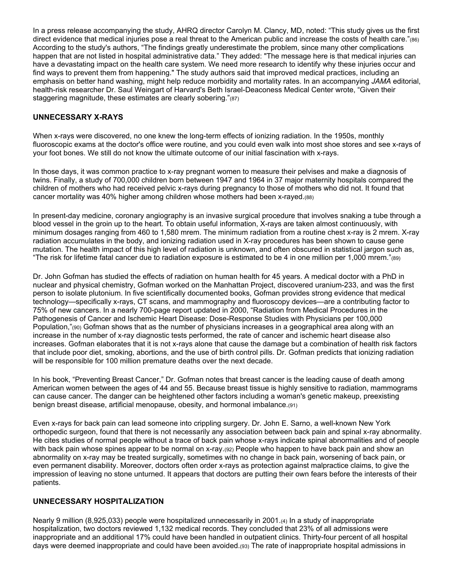In a press release accompanying the study, AHRQ director Carolyn M. Clancy, MD, noted: "This study gives us the first direct evidence that medical injuries pose a real threat to the American public and increase the costs of health care."(86) According to the study's authors, "The findings greatly underestimate the problem, since many other complications happen that are not listed in hospital administrative data." They added: "The message here is that medical injuries can have a devastating impact on the health care system. We need more research to identify why these injuries occur and find ways to prevent them from happening." The study authors said that improved medical practices, including an emphasis on better hand washing, might help reduce morbidity and mortality rates. In an accompanying *JAMA* editorial, health-risk researcher Dr. Saul Weingart of Harvard's Beth Israel-Deaconess Medical Center wrote, "Given their staggering magnitude, these estimates are clearly sobering."(87)

### **UNNECESSARY X-RAYS**

When x-rays were discovered, no one knew the long-term effects of ionizing radiation. In the 1950s, monthly fluoroscopic exams at the doctor's office were routine, and you could even walk into most shoe stores and see x-rays of your foot bones. We still do not know the ultimate outcome of our initial fascination with x-rays.

In those days, it was common practice to x-ray pregnant women to measure their pelvises and make a diagnosis of twins. Finally, a study of 700,000 children born between 1947 and 1964 in 37 major maternity hospitals compared the children of mothers who had received pelvic x-rays during pregnancy to those of mothers who did not. It found that cancer mortality was 40% higher among children whose mothers had been x-rayed.(88)

In present-day medicine, coronary angiography is an invasive surgical procedure that involves snaking a tube through a blood vessel in the groin up to the heart. To obtain useful information, X-rays are taken almost continuously, with minimum dosages ranging from 460 to 1,580 mrem. The minimum radiation from a routine chest x-ray is 2 mrem. X-ray radiation accumulates in the body, and ionizing radiation used in X-ray procedures has been shown to cause gene mutation. The health impact of this high level of radiation is unknown, and often obscured in statistical jargon such as, "The risk for lifetime fatal cancer due to radiation exposure is estimated to be 4 in one million per 1,000 mrem."(89)

Dr. John Gofman has studied the effects of radiation on human health for 45 years. A medical doctor with a PhD in nuclear and physical chemistry, Gofman worked on the Manhattan Project, discovered uranium-233, and was the first person to isolate plutonium. In five scientifically documented books, Gofman provides strong evidence that medical technology—specifically x-rays, CT scans, and mammography and fluoroscopy devices—are a contributing factor to 75% of new cancers. In a nearly 700-page report updated in 2000, "Radiation from Medical Procedures in the Pathogenesis of Cancer and Ischemic Heart Disease: Dose-Response Studies with Physicians per 100,000 Population,"(90) Gofman shows that as the number of physicians increases in a geographical area along with an increase in the number of x-ray diagnostic tests performed, the rate of cancer and ischemic heart disease also increases. Gofman elaborates that it is not x-rays alone that cause the damage but a combination of health risk factors that include poor diet, smoking, abortions, and the use of birth control pills. Dr. Gofman predicts that ionizing radiation will be responsible for 100 million premature deaths over the next decade.

In his book, "Preventing Breast Cancer," Dr. Gofman notes that breast cancer is the leading cause of death among American women between the ages of 44 and 55. Because breast tissue is highly sensitive to radiation, mammograms can cause cancer. The danger can be heightened other factors including a woman's genetic makeup, preexisting benign breast disease, artificial menopause, obesity, and hormonal imbalance.(91)

Even x-rays for back pain can lead someone into crippling surgery. Dr. John E. Sarno, a well-known New York orthopedic surgeon, found that there is not necessarily any association between back pain and spinal x-ray abnormality. He cites studies of normal people without a trace of back pain whose x-rays indicate spinal abnormalities and of people with back pain whose spines appear to be normal on x-ray.(92) People who happen to have back pain and show an abnormality on x-ray may be treated surgically, sometimes with no change in back pain, worsening of back pain, or even permanent disability. Moreover, doctors often order x-rays as protection against malpractice claims, to give the impression of leaving no stone unturned. It appears that doctors are putting their own fears before the interests of their patients.

### **UNNECESSARY HOSPITALIZATION**

Nearly 9 million (8,925,033) people were hospitalized unnecessarily in 2001.(4) In a study of inappropriate hospitalization, two doctors reviewed 1,132 medical records. They concluded that 23% of all admissions were inappropriate and an additional 17% could have been handled in outpatient clinics. Thirty-four percent of all hospital days were deemed inappropriate and could have been avoided.(93) The rate of inappropriate hospital admissions in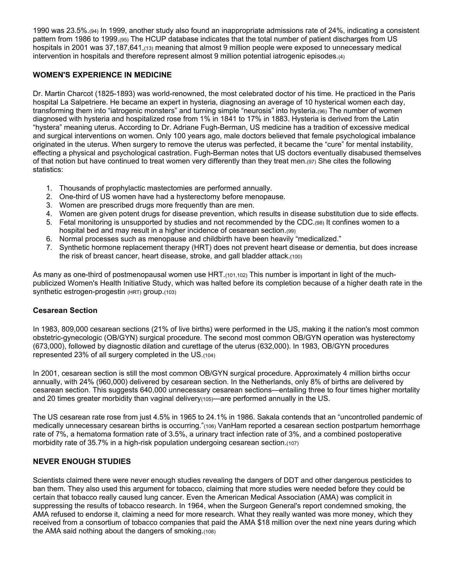1990 was 23.5%.(94) In 1999, another study also found an inappropriate admissions rate of 24%, indicating a consistent pattern from 1986 to 1999.(95) The HCUP database indicates that the total number of patient discharges from US hospitals in 2001 was 37,187,641,(13) meaning that almost 9 million people were exposed to unnecessary medical intervention in hospitals and therefore represent almost 9 million potential iatrogenic episodes.(4)

### **WOMEN'S EXPERIENCE IN MEDICINE**

Dr. Martin Charcot (1825-1893) was world-renowned, the most celebrated doctor of his time. He practiced in the Paris hospital La Salpetriere. He became an expert in hysteria, diagnosing an average of 10 hysterical women each day, transforming them into "iatrogenic monsters" and turning simple "neurosis" into hysteria.(96) The number of women diagnosed with hysteria and hospitalized rose from 1% in 1841 to 17% in 1883. Hysteria is derived from the Latin "hystera" meaning uterus. According to Dr. Adriane Fugh-Berman, US medicine has a tradition of excessive medical and surgical interventions on women. Only 100 years ago, male doctors believed that female psychological imbalance originated in the uterus. When surgery to remove the uterus was perfected, it became the "cure" for mental instability, effecting a physical and psychological castration. Fugh-Berman notes that US doctors eventually disabused themselves of that notion but have continued to treat women very differently than they treat men.(97) She cites the following statistics:

- 1. Thousands of prophylactic mastectomies are performed annually.
- 2. One-third of US women have had a hysterectomy before menopause.
- 3. Women are prescribed drugs more frequently than are men.
- 4. Women are given potent drugs for disease prevention, which results in disease substitution due to side effects.
- 5. Fetal monitoring is unsupported by studies and not recommended by the CDC.(98) It confines women to a hospital bed and may result in a higher incidence of cesarean section.(99)
- 6. Normal processes such as menopause and childbirth have been heavily "medicalized."
- 7. Synthetic hormone replacement therapy (HRT) does not prevent heart disease or dementia, but does increase the risk of breast cancer, heart disease, stroke, and gall bladder attack.(100)

As many as one-third of postmenopausal women use HRT.(101,102) This number is important in light of the muchpublicized Women's Health Initiative Study, which was halted before its completion because of a higher death rate in the synthetic estrogen-progestin (HRT) group.(103)

### **Cesarean Section**

In 1983, 809,000 cesarean sections (21% of live births) were performed in the US, making it the nation's most common obstetric-gynecologic (OB/GYN) surgical procedure. The second most common OB/GYN operation was hysterectomy (673,000), followed by diagnostic dilation and curettage of the uterus (632,000). In 1983, OB/GYN procedures represented 23% of all surgery completed in the US.(104)

In 2001, cesarean section is still the most common OB/GYN surgical procedure. Approximately 4 million births occur annually, with 24% (960,000) delivered by cesarean section. In the Netherlands, only 8% of births are delivered by cesarean section. This suggests 640,000 unnecessary cesarean sections—entailing three to four times higher mortality and 20 times greater morbidity than vaginal delivery(105)—are performed annually in the US.

The US cesarean rate rose from just 4.5% in 1965 to 24.1% in 1986. Sakala contends that an "uncontrolled pandemic of medically unnecessary cesarean births is occurring."(106) VanHam reported a cesarean section postpartum hemorrhage rate of 7%, a hematoma formation rate of 3.5%, a urinary tract infection rate of 3%, and a combined postoperative morbidity rate of 35.7% in a high-risk population undergoing cesarean section.(107)

### **NEVER ENOUGH STUDIES**

Scientists claimed there were never enough studies revealing the dangers of DDT and other dangerous pesticides to ban them. They also used this argument for tobacco, claiming that more studies were needed before they could be certain that tobacco really caused lung cancer. Even the American Medical Association (AMA) was complicit in suppressing the results of tobacco research. In 1964, when the Surgeon General's report condemned smoking, the AMA refused to endorse it, claiming a need for more research. What they really wanted was more money, which they received from a consortium of tobacco companies that paid the AMA \$18 million over the next nine years during which the AMA said nothing about the dangers of smoking.(108)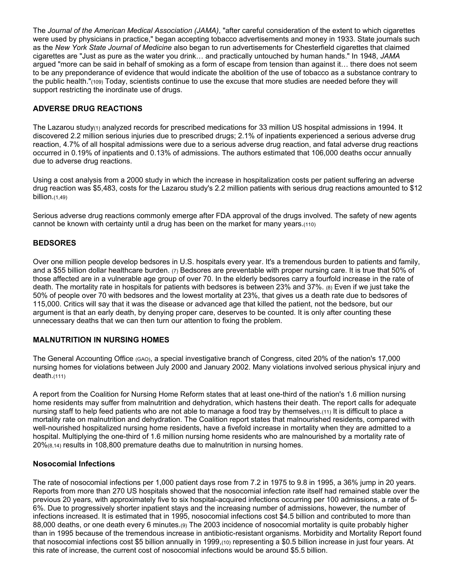The *Journal of the American Medical Association (JAMA)*, "after careful consideration of the extent to which cigarettes were used by physicians in practice," began accepting tobacco advertisements and money in 1933. State journals such as the *New York State Journal of Medicine* also began to run advertisements for Chesterfield cigarettes that claimed cigarettes are "Just as pure as the water you drink… and practically untouched by human hands." In 1948, *JAMA*  argued "more can be said in behalf of smoking as a form of escape from tension than against it… there does not seem to be any preponderance of evidence that would indicate the abolition of the use of tobacco as a substance contrary to the public health."(109) Today, scientists continue to use the excuse that more studies are needed before they will support restricting the inordinate use of drugs.

### **ADVERSE DRUG REACTIONS**

The Lazarou study(1) analyzed records for prescribed medications for 33 million US hospital admissions in 1994. It discovered 2.2 million serious injuries due to prescribed drugs; 2.1% of inpatients experienced a serious adverse drug reaction, 4.7% of all hospital admissions were due to a serious adverse drug reaction, and fatal adverse drug reactions occurred in 0.19% of inpatients and 0.13% of admissions. The authors estimated that 106,000 deaths occur annually due to adverse drug reactions.

Using a cost analysis from a 2000 study in which the increase in hospitalization costs per patient suffering an adverse drug reaction was \$5,483, costs for the Lazarou study's 2.2 million patients with serious drug reactions amounted to \$12 billion.(1,49)

Serious adverse drug reactions commonly emerge after FDA approval of the drugs involved. The safety of new agents cannot be known with certainty until a drug has been on the market for many years.(110)

### **BEDSORES**

Over one million people develop bedsores in U.S. hospitals every year. It's a tremendous burden to patients and family, and a \$55 billion dollar healthcare burden. (7) Bedsores are preventable with proper nursing care. It is true that 50% of those affected are in a vulnerable age group of over 70. In the elderly bedsores carry a fourfold increase in the rate of death. The mortality rate in hospitals for patients with bedsores is between 23% and 37%. (8) Even if we just take the 50% of people over 70 with bedsores and the lowest mortality at 23%, that gives us a death rate due to bedsores of 115,000. Critics will say that it was the disease or advanced age that killed the patient, not the bedsore, but our argument is that an early death, by denying proper care, deserves to be counted. It is only after counting these unnecessary deaths that we can then turn our attention to fixing the problem.

### **MALNUTRITION IN NURSING HOMES**

The General Accounting Office (GAO), a special investigative branch of Congress, cited 20% of the nation's 17,000 nursing homes for violations between July 2000 and January 2002. Many violations involved serious physical injury and death.(111)

A report from the Coalition for Nursing Home Reform states that at least one-third of the nation's 1.6 million nursing home residents may suffer from malnutrition and dehydration, which hastens their death. The report calls for adequate nursing staff to help feed patients who are not able to manage a food tray by themselves.(11) It is difficult to place a mortality rate on malnutrition and dehydration. The Coalition report states that malnourished residents, compared with well-nourished hospitalized nursing home residents, have a fivefold increase in mortality when they are admitted to a hospital. Multiplying the one-third of 1.6 million nursing home residents who are malnourished by a mortality rate of 20%(8,14) results in 108,800 premature deaths due to malnutrition in nursing homes.

### **Nosocomial Infections**

The rate of nosocomial infections per 1,000 patient days rose from 7.2 in 1975 to 9.8 in 1995, a 36% jump in 20 years. Reports from more than 270 US hospitals showed that the nosocomial infection rate itself had remained stable over the previous 20 years, with approximately five to six hospital-acquired infections occurring per 100 admissions, a rate of 5- 6%. Due to progressively shorter inpatient stays and the increasing number of admissions, however, the number of infections increased. It is estimated that in 1995, nosocomial infections cost \$4.5 billion and contributed to more than 88,000 deaths, or one death every 6 minutes.<sup>(9)</sup> The 2003 incidence of nosocomial mortality is quite probably higher than in 1995 because of the tremendous increase in antibiotic-resistant organisms. Morbidity and Mortality Report found that nosocomial infections cost \$5 billion annually in 1999,(10) representing a \$0.5 billion increase in just four years. At this rate of increase, the current cost of nosocomial infections would be around \$5.5 billion.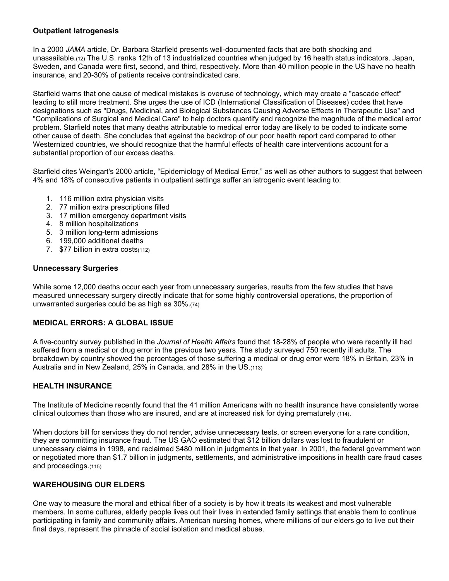### **Outpatient Iatrogenesis**

In a 2000 *JAMA* article, Dr. Barbara Starfield presents well-documented facts that are both shocking and unassailable.(12) The U.S. ranks 12th of 13 industrialized countries when judged by 16 health status indicators. Japan, Sweden, and Canada were first, second, and third, respectively. More than 40 million people in the US have no health insurance, and 20-30% of patients receive contraindicated care.

Starfield warns that one cause of medical mistakes is overuse of technology, which may create a "cascade effect" leading to still more treatment. She urges the use of ICD (International Classification of Diseases) codes that have designations such as "Drugs, Medicinal, and Biological Substances Causing Adverse Effects in Therapeutic Use" and "Complications of Surgical and Medical Care" to help doctors quantify and recognize the magnitude of the medical error problem. Starfield notes that many deaths attributable to medical error today are likely to be coded to indicate some other cause of death. She concludes that against the backdrop of our poor health report card compared to other Westernized countries, we should recognize that the harmful effects of health care interventions account for a substantial proportion of our excess deaths.

Starfield cites Weingart's 2000 article, "Epidemiology of Medical Error," as well as other authors to suggest that between 4% and 18% of consecutive patients in outpatient settings suffer an iatrogenic event leading to:

- 1. 116 million extra physician visits
- 2. 77 million extra prescriptions filled
- 3. 17 million emergency department visits
- 4. 8 million hospitalizations
- 5. 3 million long-term admissions
- 6. 199,000 additional deaths
- 7. \$77 billion in extra costs(112)

#### **Unnecessary Surgeries**

While some 12,000 deaths occur each year from unnecessary surgeries, results from the few studies that have measured unnecessary surgery directly indicate that for some highly controversial operations, the proportion of unwarranted surgeries could be as high as 30%.(74)

### **MEDICAL ERRORS: A GLOBAL ISSUE**

A five-country survey published in the *Journal of Health Affairs* found that 18-28% of people who were recently ill had suffered from a medical or drug error in the previous two years. The study surveyed 750 recently ill adults. The breakdown by country showed the percentages of those suffering a medical or drug error were 18% in Britain, 23% in Australia and in New Zealand, 25% in Canada, and 28% in the US.(113)

### **HEALTH INSURANCE**

The Institute of Medicine recently found that the 41 million Americans with no health insurance have consistently worse clinical outcomes than those who are insured, and are at increased risk for dying prematurely (114).

When doctors bill for services they do not render, advise unnecessary tests, or screen everyone for a rare condition, they are committing insurance fraud. The US GAO estimated that \$12 billion dollars was lost to fraudulent or unnecessary claims in 1998, and reclaimed \$480 million in judgments in that year. In 2001, the federal government won or negotiated more than \$1.7 billion in judgments, settlements, and administrative impositions in health care fraud cases and proceedings.(115)

### **WAREHOUSING OUR ELDERS**

One way to measure the moral and ethical fiber of a society is by how it treats its weakest and most vulnerable members. In some cultures, elderly people lives out their lives in extended family settings that enable them to continue participating in family and community affairs. American nursing homes, where millions of our elders go to live out their final days, represent the pinnacle of social isolation and medical abuse.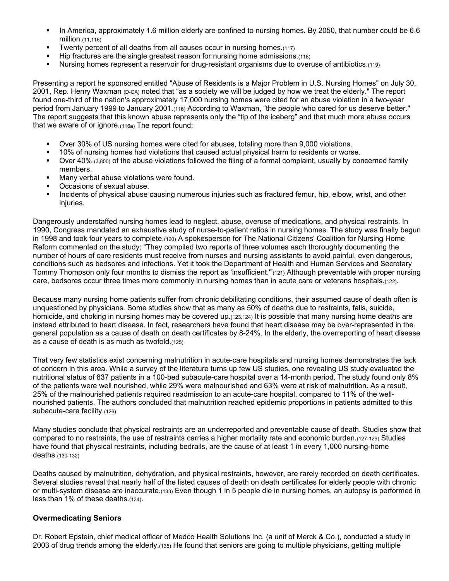- In America, approximately 1.6 million elderly are confined to nursing homes. By 2050, that number could be 6.6 million.(11,116)
- Twenty percent of all deaths from all causes occur in nursing homes.(117)
- Hip fractures are the single greatest reason for nursing home admissions.(118)
- Nursing homes represent a reservoir for drug-resistant organisms due to overuse of antibiotics.(119)

Presenting a report he sponsored entitled "Abuse of Residents is a Major Problem in U.S. Nursing Homes" on July 30, 2001, Rep. Henry Waxman (D-CA) noted that "as a society we will be judged by how we treat the elderly." The report found one-third of the nation's approximately 17,000 nursing homes were cited for an abuse violation in a two-year period from January 1999 to January 2001.(116) According to Waxman, "the people who cared for us deserve better." The report suggests that this known abuse represents only the "tip of the iceberg" and that much more abuse occurs that we aware of or ignore.(116a) The report found:

- Over 30% of US nursing homes were cited for abuses, totaling more than 9,000 violations.
- 10% of nursing homes had violations that caused actual physical harm to residents or worse.
- Over 40% (3,800) of the abuse violations followed the filing of a formal complaint, usually by concerned family members.
- **Many verbal abuse violations were found.**
- Occasions of sexual abuse.
- Incidents of physical abuse causing numerous injuries such as fractured femur, hip, elbow, wrist, and other injuries.

Dangerously understaffed nursing homes lead to neglect, abuse, overuse of medications, and physical restraints. In 1990, Congress mandated an exhaustive study of nurse-to-patient ratios in nursing homes. The study was finally begun in 1998 and took four years to complete.(120) A spokesperson for The National Citizens' Coalition for Nursing Home Reform commented on the study: "They compiled two reports of three volumes each thoroughly documenting the number of hours of care residents must receive from nurses and nursing assistants to avoid painful, even dangerous, conditions such as bedsores and infections. Yet it took the Department of Health and Human Services and Secretary Tommy Thompson only four months to dismiss the report as 'insufficient.'"(121) Although preventable with proper nursing care, bedsores occur three times more commonly in nursing homes than in acute care or veterans hospitals.(122).

Because many nursing home patients suffer from chronic debilitating conditions, their assumed cause of death often is unquestioned by physicians. Some studies show that as many as 50% of deaths due to restraints, falls, suicide, homicide, and choking in nursing homes may be covered up. (123,124) It is possible that many nursing home deaths are instead attributed to heart disease. In fact, researchers have found that heart disease may be over-represented in the general population as a cause of death on death certificates by 8-24%. In the elderly, the overreporting of heart disease as a cause of death is as much as twofold.(125)

That very few statistics exist concerning malnutrition in acute-care hospitals and nursing homes demonstrates the lack of concern in this area. While a survey of the literature turns up few US studies, one revealing US study evaluated the nutritional status of 837 patients in a 100-bed subacute-care hospital over a 14-month period. The study found only 8% of the patients were well nourished, while 29% were malnourished and 63% were at risk of malnutrition. As a result, 25% of the malnourished patients required readmission to an acute-care hospital, compared to 11% of the wellnourished patients. The authors concluded that malnutrition reached epidemic proportions in patients admitted to this subacute-care facility.(126)

Many studies conclude that physical restraints are an underreported and preventable cause of death. Studies show that compared to no restraints, the use of restraints carries a higher mortality rate and economic burden.(127-129) Studies have found that physical restraints, including bedrails, are the cause of at least 1 in every 1,000 nursing-home deaths.(130-132)

Deaths caused by malnutrition, dehydration, and physical restraints, however, are rarely recorded on death certificates. Several studies reveal that nearly half of the listed causes of death on death certificates for elderly people with chronic or multi-system disease are inaccurate.(133) Even though 1 in 5 people die in nursing homes, an autopsy is performed in less than 1% of these deaths.(134).

### **Overmedicating Seniors**

Dr. Robert Epstein, chief medical officer of Medco Health Solutions Inc. (a unit of Merck & Co.), conducted a study in 2003 of drug trends among the elderly.(135) He found that seniors are going to multiple physicians, getting multiple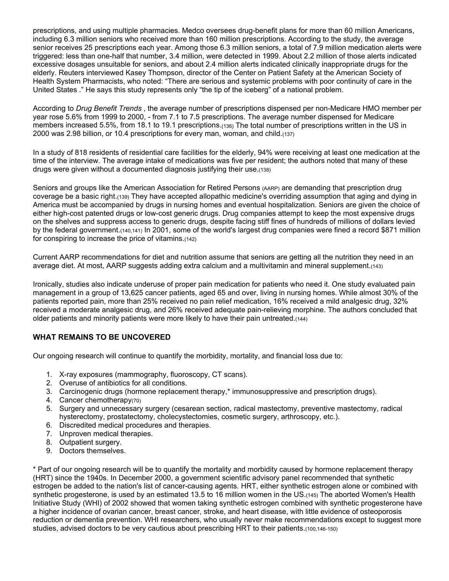prescriptions, and using multiple pharmacies. Medco oversees drug-benefit plans for more than 60 million Americans, including 6.3 million seniors who received more than 160 million prescriptions. According to the study, the average senior receives 25 prescriptions each year. Among those 6.3 million seniors, a total of 7.9 million medication alerts were triggered: less than one-half that number, 3.4 million, were detected in 1999. About 2.2 million of those alerts indicated excessive dosages unsuitable for seniors, and about 2.4 million alerts indicated clinically inappropriate drugs for the elderly. Reuters interviewed Kasey Thompson, director of the Center on Patient Safety at the American Society of Health System Pharmacists, who noted: "There are serious and systemic problems with poor continuity of care in the United States ." He says this study represents only "the tip of the iceberg" of a national problem.

According to *Drug Benefit Trends* , the average number of prescriptions dispensed per non-Medicare HMO member per year rose 5.6% from 1999 to 2000, - from 7.1 to 7.5 prescriptions. The average number dispensed for Medicare members increased 5.5%, from 18.1 to 19.1 prescriptions.(136) The total number of prescriptions written in the US in 2000 was 2.98 billion, or 10.4 prescriptions for every man, woman, and child.(137)

In a study of 818 residents of residential care facilities for the elderly, 94% were receiving at least one medication at the time of the interview. The average intake of medications was five per resident; the authors noted that many of these drugs were given without a documented diagnosis justifying their use.(138)

Seniors and groups like the American Association for Retired Persons (AARP) are demanding that prescription drug coverage be a basic right.(139) They have accepted allopathic medicine's overriding assumption that aging and dying in America must be accompanied by drugs in nursing homes and eventual hospitalization. Seniors are given the choice of either high-cost patented drugs or low-cost generic drugs. Drug companies attempt to keep the most expensive drugs on the shelves and suppress access to generic drugs, despite facing stiff fines of hundreds of millions of dollars levied by the federal government.(140,141) In 2001, some of the world's largest drug companies were fined a record \$871 million for conspiring to increase the price of vitamins.(142)

Current AARP recommendations for diet and nutrition assume that seniors are getting all the nutrition they need in an average diet. At most, AARP suggests adding extra calcium and a multivitamin and mineral supplement.(143)

Ironically, studies also indicate underuse of proper pain medication for patients who need it. One study evaluated pain management in a group of 13,625 cancer patients, aged 65 and over, living in nursing homes. While almost 30% of the patients reported pain, more than 25% received no pain relief medication, 16% received a mild analgesic drug, 32% received a moderate analgesic drug, and 26% received adequate pain-relieving morphine. The authors concluded that older patients and minority patients were more likely to have their pain untreated.(144)

### **WHAT REMAINS TO BE UNCOVERED**

Our ongoing research will continue to quantify the morbidity, mortality, and financial loss due to:

- 1. X-ray exposures (mammography, fluoroscopy, CT scans).
- 2. Overuse of antibiotics for all conditions.
- 3. Carcinogenic drugs (hormone replacement therapy,\* immunosuppressive and prescription drugs).
- 4. Cancer chemotherapy(70)
- 5. Surgery and unnecessary surgery (cesarean section, radical mastectomy, preventive mastectomy, radical hysterectomy, prostatectomy, cholecystectomies, cosmetic surgery, arthroscopy, etc.).
- 6. Discredited medical procedures and therapies.
- 7. Unproven medical therapies.
- 8. Outpatient surgery.
- 9. Doctors themselves.

\* Part of our ongoing research will be to quantify the mortality and morbidity caused by hormone replacement therapy (HRT) since the 1940s. In December 2000, a government scientific advisory panel recommended that synthetic estrogen be added to the nation's list of cancer-causing agents. HRT, either synthetic estrogen alone or combined with synthetic progesterone, is used by an estimated 13.5 to 16 million women in the US.(145) The aborted Women's Health Initiative Study (WHI) of 2002 showed that women taking synthetic estrogen combined with synthetic progesterone have a higher incidence of ovarian cancer, breast cancer, stroke, and heart disease, with little evidence of osteoporosis reduction or dementia prevention. WHI researchers, who usually never make recommendations except to suggest more studies, advised doctors to be very cautious about prescribing HRT to their patients.(100,146-150)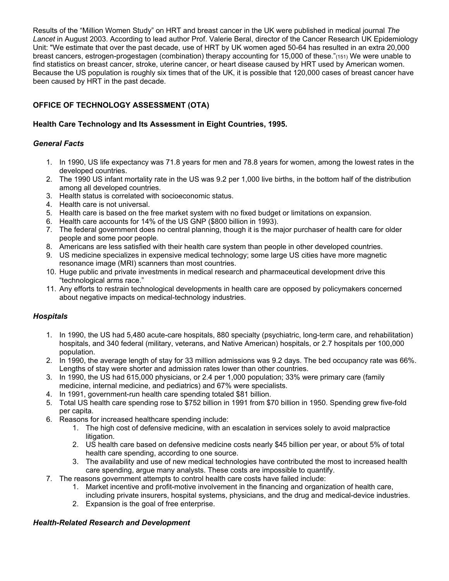Results of the "Million Women Study" on HRT and breast cancer in the UK were published in medical journal *The*  Lancet in August 2003. According to lead author Prof. Valerie Beral, director of the Cancer Research UK Epidemiology Unit: "We estimate that over the past decade, use of HRT by UK women aged 50-64 has resulted in an extra 20,000 breast cancers, estrogen-progestagen (combination) therapy accounting for 15,000 of these."(151) We were unable to find statistics on breast cancer, stroke, uterine cancer, or heart disease caused by HRT used by American women. Because the US population is roughly six times that of the UK, it is possible that 120,000 cases of breast cancer have been caused by HRT in the past decade.

## **OFFICE OF TECHNOLOGY ASSESSMENT (OTA)**

### **Health Care Technology and Its Assessment in Eight Countries, 1995.**

### *General Facts*

- 1. In 1990, US life expectancy was 71.8 years for men and 78.8 years for women, among the lowest rates in the developed countries.
- 2. The 1990 US infant mortality rate in the US was 9.2 per 1,000 live births, in the bottom half of the distribution among all developed countries.
- 3. Health status is correlated with socioeconomic status.
- 4. Health care is not universal.
- 5. Health care is based on the free market system with no fixed budget or limitations on expansion.
- 6. Health care accounts for 14% of the US GNP (\$800 billion in 1993).
- 7. The federal government does no central planning, though it is the major purchaser of health care for older people and some poor people.
- 8. Americans are less satisfied with their health care system than people in other developed countries.
- 9. US medicine specializes in expensive medical technology; some large US cities have more magnetic resonance image (MRI) scanners than most countries.
- 10. Huge public and private investments in medical research and pharmaceutical development drive this "technological arms race."
- 11. Any efforts to restrain technological developments in health care are opposed by policymakers concerned about negative impacts on medical-technology industries.

### *Hospitals*

- 1. In 1990, the US had 5,480 acute-care hospitals, 880 specialty (psychiatric, long-term care, and rehabilitation) hospitals, and 340 federal (military, veterans, and Native American) hospitals, or 2.7 hospitals per 100,000 population.
- 2. In 1990, the average length of stay for 33 million admissions was 9.2 days. The bed occupancy rate was 66%. Lengths of stay were shorter and admission rates lower than other countries.
- 3. In 1990, the US had 615,000 physicians, or 2.4 per 1,000 population; 33% were primary care (family medicine, internal medicine, and pediatrics) and 67% were specialists.
- 4. In 1991, government-run health care spending totaled \$81 billion.
- 5. Total US health care spending rose to \$752 billion in 1991 from \$70 billion in 1950. Spending grew five-fold per capita.
- 6. Reasons for increased healthcare spending include:
	- 1. The high cost of defensive medicine, with an escalation in services solely to avoid malpractice litigation.
	- 2. US health care based on defensive medicine costs nearly \$45 billion per year, or about 5% of total health care spending, according to one source.
	- 3. The availability and use of new medical technologies have contributed the most to increased health care spending, argue many analysts. These costs are impossible to quantify.
- 7. The reasons government attempts to control health care costs have failed include:
	- 1. Market incentive and profit-motive involvement in the financing and organization of health care,
	- including private insurers, hospital systems, physicians, and the drug and medical-device industries.
	- 2. Expansion is the goal of free enterprise.

### *Health-Related Research and Development*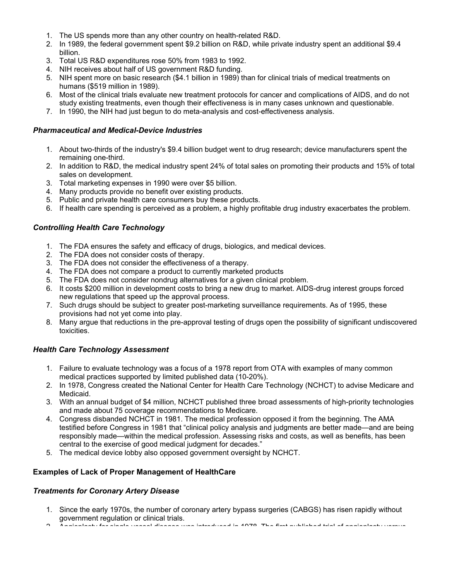- 1. The US spends more than any other country on health-related R&D.
- 2. In 1989, the federal government spent \$9.2 billion on R&D, while private industry spent an additional \$9.4 billion.
- 3. Total US R&D expenditures rose 50% from 1983 to 1992.
- 4. NIH receives about half of US government R&D funding.
- 5. NIH spent more on basic research (\$4.1 billion in 1989) than for clinical trials of medical treatments on humans (\$519 million in 1989).
- 6. Most of the clinical trials evaluate new treatment protocols for cancer and complications of AIDS, and do not study existing treatments, even though their effectiveness is in many cases unknown and questionable.
- 7. In 1990, the NIH had just begun to do meta-analysis and cost-effectiveness analysis.

#### *Pharmaceutical and Medical-Device Industries*

- 1. About two-thirds of the industry's \$9.4 billion budget went to drug research; device manufacturers spent the remaining one-third.
- 2. In addition to R&D, the medical industry spent 24% of total sales on promoting their products and 15% of total sales on development.
- 3. Total marketing expenses in 1990 were over \$5 billion.
- 4. Many products provide no benefit over existing products.
- 5. Public and private health care consumers buy these products.
- 6. If health care spending is perceived as a problem, a highly profitable drug industry exacerbates the problem.

### *Controlling Health Care Technology*

- 1. The FDA ensures the safety and efficacy of drugs, biologics, and medical devices.
- 2. The FDA does not consider costs of therapy.
- 3. The FDA does not consider the effectiveness of a therapy.
- 4. The FDA does not compare a product to currently marketed products
- 5. The FDA does not consider nondrug alternatives for a given clinical problem.
- 6. It costs \$200 million in development costs to bring a new drug to market. AIDS-drug interest groups forced new regulations that speed up the approval process.
- 7. Such drugs should be subject to greater post-marketing surveillance requirements. As of 1995, these provisions had not yet come into play.
- 8. Many argue that reductions in the pre-approval testing of drugs open the possibility of significant undiscovered toxicities.

### *Health Care Technology Assessment*

- 1. Failure to evaluate technology was a focus of a 1978 report from OTA with examples of many common medical practices supported by limited published data (10-20%).
- 2. In 1978, Congress created the National Center for Health Care Technology (NCHCT) to advise Medicare and Medicaid.
- 3. With an annual budget of \$4 million, NCHCT published three broad assessments of high-priority technologies and made about 75 coverage recommendations to Medicare.
- 4. Congress disbanded NCHCT in 1981. The medical profession opposed it from the beginning. The AMA testified before Congress in 1981 that "clinical policy analysis and judgments are better made—and are being responsibly made—within the medical profession. Assessing risks and costs, as well as benefits, has been central to the exercise of good medical judgment for decades."
- 5. The medical device lobby also opposed government oversight by NCHCT.

### **Examples of Lack of Proper Management of HealthCare**

### *Treatments for Coronary Artery Disease*

- 1. Since the early 1970s, the number of coronary artery bypass surgeries (CABGS) has risen rapidly without government regulation or clinical trials.
- 2 Angioplasty for single vessel disease was introduced in 1978 The first published trial of angioplasty versus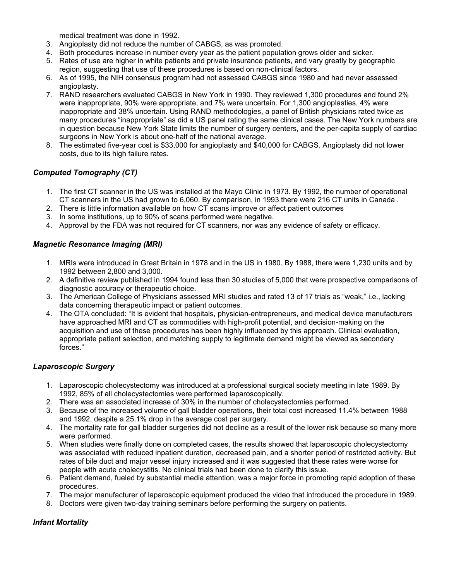medical treatment was done in 1992.

- 3. Angioplasty did not reduce the number of CABGS, as was promoted.
- 4. Both procedures increase in number every year as the patient population grows older and sicker.
- 5. Rates of use are higher in white patients and private insurance patients, and vary greatly by geographic region, suggesting that use of these procedures is based on non-clinical factors.
- 6. As of 1995, the NIH consensus program had not assessed CABGS since 1980 and had never assessed angioplasty.
- 7. RAND researchers evaluated CABGS in New York in 1990. They reviewed 1,300 procedures and found 2% were inappropriate, 90% were appropriate, and 7% were uncertain. For 1,300 angioplasties, 4% were inappropriate and 38% uncertain. Using RAND methodologies, a panel of British physicians rated twice as many procedures "inappropriate" as did a US panel rating the same clinical cases. The New York numbers are in question because New York State limits the number of surgery centers, and the per-capita supply of cardiac surgeons in New York is about one-half of the national average.
- 8. The estimated five-year cost is \$33,000 for angioplasty and \$40,000 for CABGS. Angioplasty did not lower costs, due to its high failure rates.

### *Computed Tomography (CT)*

- 1. The first CT scanner in the US was installed at the Mayo Clinic in 1973. By 1992, the number of operational CT scanners in the US had grown to 6,060. By comparison, in 1993 there were 216 CT units in Canada .
- 2. There is little information available on how CT scans improve or affect patient outcomes
- 3. In some institutions, up to 90% of scans performed were negative.
- 4. Approval by the FDA was not required for CT scanners, nor was any evidence of safety or efficacy.

### *Magnetic Resonance Imaging (MRI)*

- 1. MRIs were introduced in Great Britain in 1978 and in the US in 1980. By 1988, there were 1,230 units and by 1992 between 2,800 and 3,000.
- 2. A definitive review published in 1994 found less than 30 studies of 5,000 that were prospective comparisons of diagnostic accuracy or therapeutic choice.
- 3. The American College of Physicians assessed MRI studies and rated 13 of 17 trials as "weak," i.e., lacking data concerning therapeutic impact or patient outcomes.
- 4. The OTA concluded: "It is evident that hospitals, physician-entrepreneurs, and medical device manufacturers have approached MRI and CT as commodities with high-profit potential, and decision-making on the acquisition and use of these procedures has been highly influenced by this approach. Clinical evaluation, appropriate patient selection, and matching supply to legitimate demand might be viewed as secondary forces."

### *Laparoscopic Surgery*

- 1. Laparoscopic cholecystectomy was introduced at a professional surgical society meeting in late 1989. By 1992, 85% of all cholecystectomies were performed laparoscopically.
- 2. There was an associated increase of 30% in the number of cholecystectomies performed.
- 3. Because of the increased volume of gall bladder operations, their total cost increased 11.4% between 1988 and 1992, despite a 25.1% drop in the average cost per surgery.
- 4. The mortality rate for gall bladder surgeries did not decline as a result of the lower risk because so many more were performed.
- 5. When studies were finally done on completed cases, the results showed that laparoscopic cholecystectomy was associated with reduced inpatient duration, decreased pain, and a shorter period of restricted activity. But rates of bile duct and major vessel injury increased and it was suggested that these rates were worse for people with acute cholecystitis. No clinical trials had been done to clarify this issue.
- 6. Patient demand, fueled by substantial media attention, was a major force in promoting rapid adoption of these procedures.
- 7. The major manufacturer of laparoscopic equipment produced the video that introduced the procedure in 1989.
- 8. Doctors were given two-day training seminars before performing the surgery on patients.

### *Infant Mortality*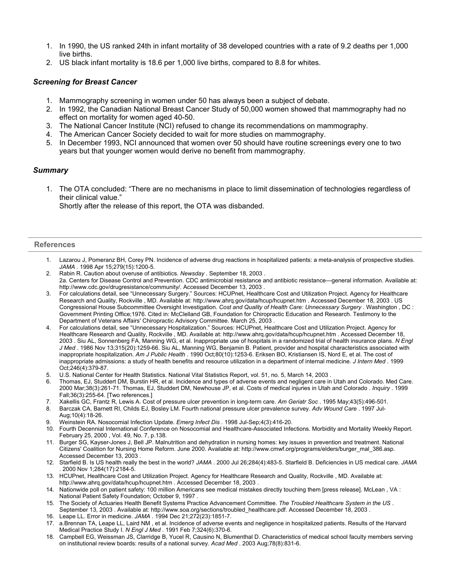- 1. In 1990, the US ranked 24th in infant mortality of 38 developed countries with a rate of 9.2 deaths per 1,000 live births.
- 2. US black infant mortality is 18.6 per 1,000 live births, compared to 8.8 for whites.

#### *Screening for Breast Cancer*

- 1. Mammography screening in women under 50 has always been a subject of debate.
- 2. In 1992, the Canadian National Breast Cancer Study of 50,000 women showed that mammography had no effect on mortality for women aged 40-50.
- 3. The National Cancer Institute (NCI) refused to change its recommendations on mammography.
- 4. The American Cancer Society decided to wait for more studies on mammography.
- 5. In December 1993, NCI announced that women over 50 should have routine screenings every one to two years but that younger women would derive no benefit from mammography.

#### *Summary*

1. The OTA concluded: "There are no mechanisms in place to limit dissemination of technologies regardless of their clinical value."

Shortly after the release of this report, the OTA was disbanded.

#### **References**

- 1. Lazarou J, Pomeranz BH, Corey PN. Incidence of adverse drug reactions in hospitalized patients: a meta-analysis of prospective studies. *JAMA* . 1998 Apr 15;279(15):1200-5.
- 2. Rabin R. Caution about overuse of antibiotics. *Newsday* . September 18, 2003 . 2a. Centers for Disease Control and Prevention. CDC antimicrobial resistance and antibiotic resistance—general information. Available at: http://www.cdc.gov/drugresistance/community/. Accessed December 13, 2003 .
- 3. For calculations detail, see "Unnecessary Surgery." Sources: HCUPnet, Healthcare Cost and Utilization Project. Agency for Healthcare Research and Quality, Rockville , MD. Available at: http://www.ahrq.gov/data/hcup/hcupnet.htm . Accessed December 18, 2003 . US Congressional House Subcommittee Oversight Investigation. *Cost and Quality of Health Care: Unnecessary Surgery* . Washington , DC : Government Printing Office;1976. Cited in: McClelland GB, Foundation for Chiropractic Education and Research. Testimony to the Department of Veterans Affairs' Chiropractic Advisory Committee. March 25, 2003 .
- 4. For calculations detail, see "Unnecessary Hospitalization." Sources: HCUPnet, Healthcare Cost and Utilization Project. Agency for Healthcare Research and Quality, Rockville , MD. Available at: http://www.ahrq.gov/data/hcup/hcupnet.htm . Accessed December 18, 2003 . Siu AL, Sonnenberg FA, Manning WG, et al. Inappropriate use of hospitals in a randomized trial of health insurance plans. *N Engl J Med* . 1986 Nov 13;315(20):1259-66. Siu AL, Manning WG, Benjamin B. Patient, provider and hospital characteristics associated with inappropriate hospitalization. *Am J Public Health* . 1990 Oct;80(10):1253-6. Eriksen BO, Kristiansen IS, Nord E, et al. The cost of inappropriate admissions: a study of health benefits and resource utilization in a department of internal medicine. *J Intern Med* . 1999 Oct;246(4):379-87.
- 5. U.S. National Center for Health Statistics. National Vital Statistics Report, vol. 51, no. 5, March 14, 2003 .
- 6. Thomas, EJ, Studdert DM, Burstin HR, et al. Incidence and types of adverse events and negligent care in Utah and Colorado. Med Care. 2000 Mar;38(3):261-71. Thomas, EJ, Studdert DM, Newhouse JP, et al. Costs of medical injuries in Utah and Colorado . *Inquiry* . 1999 Fall;36(3):255-64. [Two references.]
- 7. Xakellis GC, Frantz R, Lewis A. Cost of pressure ulcer prevention in long-term care. *Am Geriatr Soc* . 1995 May;43(5):496-501.
- 8. Barczak CA, Barnett RI, Childs EJ, Bosley LM. Fourth national pressure ulcer prevalence survey. *Adv Wound Care* . 1997 Jul-Aug;10(4):18-26.
- 9. Weinstein RA. Nosocomial Infection Update. *Emerg Infect Dis* . 1998 Jul-Sep;4(3):416-20.
- 10. Fourth Decennial International Conference on Nosocomial and Healthcare-Associated Infections. Morbidity and Mortality Weekly Report. February 25, 2000 , Vol. 49, No. 7, p.138.
- 11. Burger SG, Kayser-Jones J, Bell JP. Malnutrition and dehydration in nursing homes: key issues in prevention and treatment. National Citizens' Coalition for Nursing Home Reform. June 2000. Available at: http://www.cmwf.org/programs/elders/burger\_mal\_386.asp. Accessed December 13, 2003 .
- 12. Starfield B. Is US health really the best in the world? *JAMA* . 2000 Jul 26;284(4):483-5. Starfield B. Deficiencies in US medical care. *JAMA*  . 2000 Nov 1;284(17):2184-5.
- 13. HCUPnet, Healthcare Cost and Utilization Project. Agency for Healthcare Research and Quality, Rockville , MD. Available at: http://www.ahrq.gov/data/hcup/hcupnet.htm . Accessed December 18, 2003 .
- 14. Nationwide poll on patient safety: 100 million Americans see medical mistakes directly touching them [press release]. McLean , VA : National Patient Safety Foundation; October 9, 1997 .
- 15. The Society of Actuaries Health Benefit Systems Practice Advancement Committee. *The Troubled Healthcare System in the US* . September 13, 2003 . Available at: http://www.soa.org/sections/troubled\_healthcare.pdf. Accessed December 18, 2003 .
- 16. Leape LL. Error in medicine. *JAMA* . 1994 Dec 21;272(23):1851-7.
- 17. a.Brennan TA, Leape LL, Laird NM , et al. Incidence of adverse events and negligence in hospitalized patients. Results of the Harvard Medical Practice Study I. *N Engl J Med* . 1991 Feb 7;324(6):370-6.
- 18. Campbell EG, Weissman JS, Clarridge B, Yucel R, Causino N, Blumenthal D. Characteristics of medical school faculty members serving on institutional review boards: results of a national survey. *Acad Med* . 2003 Aug;78(8):831-6.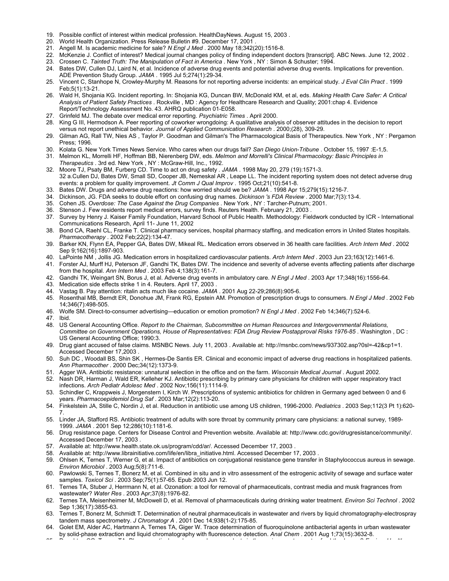- 19. Possible conflict of interest within medical profession. HealthDayNews. August 15, 2003 .
- 20. World Health Organization. Press Release Bulletin #9. December 17, 2001
- 21. Angell M. Is academic medicine for sale? *N Engl J Med* . 2000 May 18;342(20):1516-8.
- 22. McKenzie J. Conflict of interest? Medical journal changes policy of finding independent doctors [transcript]. ABC News. June 12, 2002 .
- 23. Crossen C. *Tainted Truth: The Manipulation of Fact in America* . New York , NY : Simon & Schuster; 1994.
- 24. Bates DW, Cullen DJ, Laird N, et al. Incidence of adverse drug events and potential adverse drug events. Implications for prevention. ADE Prevention Study Group. *JAMA* . 1995 Jul 5;274(1):29-34.
- 25. Vincent C, Stanhope N, Crowley-Murphy M. Reasons for not reporting adverse incidents: an empirical study. *J Eval Clin Pract* . 1999 Feb;5(1):13-21.
- 26. Wald H, Shojania KG. Incident reporting. In: Shojania KG, Duncan BW, McDonald KM, et al, eds. *Making Health Care Safer: A Critical Analysis of Patient Safety Practices* . Rockville , MD : Agency for Healthcare Research and Quality; 2001:chap 4. Evidence Report/Technology Assessment No. 43. AHRQ publication 01-E058.
- 27. Grinfeld MJ. The debate over medical error reporting. *Psychiatric Times* . April 2000.
- 28. King G III, Hermodson A. Peer reporting of coworker wrongdoing: A qualitative analysis of observer attitudes in the decision to report versus not report unethical behavior. *Journal of Applied Communication Research* . 2000;(28), 309-29.
- 29. Gilman AG, Rall TW, Nies AS , Taylor P. Goodman and Gilman's The Pharmacological Basis of Therapeutics. New York , NY : Pergamon Press; 1996.
- 30. Kolata G. New York Times News Service. Who cares when our drugs fail? *San Diego Union-Tribune* . October 15, 1997 :E-1,5.
- 31. Melmon KL, Morrelli HF, Hoffman BB, Nierenberg DW, eds. *Melmon and Morrelli's Clinical Pharmacology: Basic Principles in Therapeutics* . 3rd ed. New York , NY : McGraw-Hill, Inc., 1992.
- 32. Moore TJ, Psaty BM, Furberg CD. Time to act on drug safety *. JAMA* . 1998 May 20, 279 (19):1571-3. 32 a.Cullen DJ, Bates DW, Small SD, Cooper JB, Nemeskal AR , Leape LL. The incident reporting system does not detect adverse drug events: a problem for quality improvement. *Jt Comm J Qual Improv* . 1995 Oct;21(10):541-8.
- 33. Bates DW. Drugs and adverse drug reactions: how worried should we be? *JAMA* . 1998 Apr 15;279(15):1216-7.
- 34. Dickinson, JG. FDA seeks to double effort on confusing drug names. *Dickinson 's FDA Review* . 2000 Mar;7(3):13-4.
- 35. Cohen JS. *Overdose: The Case Against the Drug Companies* . New York , NY : Tarcher-Putnum; 2001.
- 36. Stenson J. Few residents report medical errors, survey finds. Reuters Health. February 21, 2003 .
- 37. Survey by Henry J. Kaiser Family Foundation, Harvard School of Public Health. Methodology: Fieldwork conducted by ICR International Communications Research, April 11- June 11, 2002
- 38. Bond CA, Raehl CL, Franke T. Clinical pharmacy services, hospital pharmacy staffing, and medication errors in United States hospitals. *Pharmacotherapy* . 2002 Feb;22(2):134-47.
- 39. Barker KN, Flynn EA, Pepper GA, Bates DW, Mikeal RL. Medication errors observed in 36 health care facilities. *Arch Intern Med* . 2002 Sep 9;162(16):1897-903.
- 40. LaPointe NM , Jollis JG. Medication errors in hospitalized cardiovascular patients. *Arch Intern Med* . 2003 Jun 23;163(12):1461-6.
- 41. Forster AJ, Murff HJ, Peterson JF, Gandhi TK, Bates DW. The incidence and severity of adverse events affecting patients after discharge from the hospital. *Ann Intern Med* . 2003 Feb 4;138(3):161-7.
- 42. Gandhi TK, Weingart SN, Borus J, et al. Adverse drug events in ambulatory care. *N Engl J Med* . 2003 Apr 17;348(16):1556-64.
- 43. Medication side effects strike 1 in 4. Reuters. April 17, 2003 .
- 44. Vastag B. Pay attention: ritalin acts much like cocaine. *JAMA* . 2001 Aug 22-29;286(8):905-6.
- 45. Rosenthal MB, Berndt ER, Donohue JM, Frank RG, Epstein AM. Promotion of prescription drugs to consumers. *N Engl J Med* . 2002 Feb 14;346(7):498-505.
- 46. Wolfe SM. Direct-to-consumer advertising—education or emotion promotion? *N Engl J Med* . 2002 Feb 14;346(7):524-6. 47. Ibid.
- 
- 48. US General Accounting Office. *Report to the Chairman, Subcommittee on Human Resources and Intergovernmental Relations, Committee on Government Operations, House of Representatives: FDA Drug Review Postapproval Risks 1976-85* . Washington , DC : US General Accounting Office; 1990:3.
- 49. Drug giant accused of false claims. MSNBC News. July 11, 2003 . Available at: http://msnbc.com/news/937302.asp?0sl=-42&cp1=1. Accessed December 17,2003 .
- 50. Suh DC , Woodall BS, Shin SK , Hermes-De Santis ER. Clinical and economic impact of adverse drug reactions in hospitalized patients. *Ann Pharmacother* . 2000 Dec;34(12):1373-9.
- 51. Agger WA. Antibiotic resistance: unnatural selection in the office and on the farm. *Wisconsin Medical Journal* . August 2002.
- 52. Nash DR, Harman J, Wald ER, Kelleher KJ. Antibiotic prescribing by primary care physicians for children with upper respiratory tract infections. *Arch Pediatr Adolesc Med* . 2002 Nov;156(11):1114-9.
- 53. Schindler C, Krappweis J, Morgenstern I, Kirch W. Prescriptions of systemic antibiotics for children in Germany aged between 0 and 6 years. *Pharmacoepidemiol Drug Saf* . 2003 Mar;12(2):113-20.
- 54. Finkelstein JA, Stille C, Nordin J, et al. Reduction in antibiotic use among US children, 1996-2000. *Pediatrics* . 2003 Sep;112(3 Pt 1):620- 7.
- 55. Linder JA, Stafford RS. Antibiotic treatment of adults with sore throat by community primary care physicians: a national survey, 1989- 1999. *JAMA* . 2001 Sep 12;286(10):1181-6.
- 56. Drug resistance page. Centers for Disease Control and Prevention website. Available at: http://www.cdc.gov/drugresistance/community/. Accessed December 17, 2003 .
- 57. Available at: http://www.health.state.ok.us/program/cdd/ar/. Accessed December 17, 2003 .
- 58. Available at: http://www.librainitiative.com/life/en/libra\_initiative.html. Accessed December 17, 2003 .
- 59. Ohlsen K, Ternes T, Werner G, et al. Impact of antibiotics on conjugational resistance gene transfer in Staphylococcus aureus in sewage. *Environ Microbiol* . 2003 Aug;5(8):711-6.
- 60. Pawlowski S, Ternes T, Bonerz M, et al. Combined in situ and in vitro assessment of the estrogenic activity of sewage and surface water samples. *Toxicol Sci* . 2003 Sep;75(1):57-65. Epub 2003 Jun 12.
- 61. Ternes TA, Stuber J, Herrmann N, et al. Ozonation: a tool for removal of pharmaceuticals, contrast media and musk fragrances from wastewater? *Water Res* . 2003 Apr;37(8):1976-82.
- 62. Ternes TA, Meisenheimer M, McDowell D, et al. Removal of pharmaceuticals during drinking water treatment. *Environ Sci Technol* . 2002 Sep 1;36(17):3855-63.
- 63. Ternes T, Bonerz M, Schmidt T. Determination of neutral pharmaceuticals in wastewater and rivers by liquid chromatography-electrospray tandem mass spectrometry. *J Chromatogr A* . 2001 Dec 14;938(1-2):175-85.
- 64. Golet EM, Alder AC, Hartmann A, Ternes TA, Giger W. Trace determination of fluoroquinolone antibacterial agents in urban wastewater by solid-phase extraction and liquid chromatography with fluorescence detection. *Anal Chem* . 2001 Aug 1;73(15):3632-8.
- 65 D ht CG T TA Ph ti l d l d t i th i t t f btl h ? *E i H lth*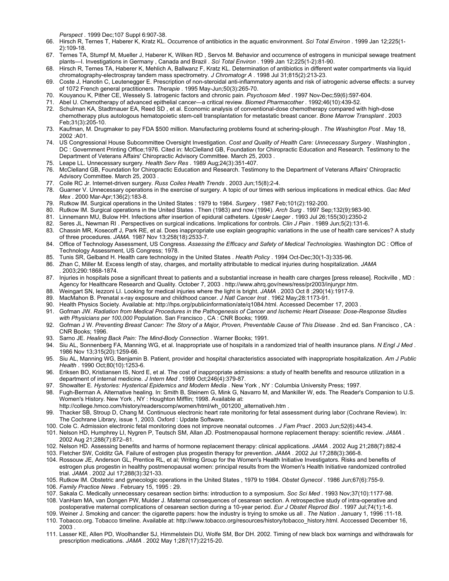*Perspect* . 1999 Dec;107 Suppl 6:907-38.

- 66. Hirsch R, Ternes T, Haberer K, Kratz KL. Occurrence of antibiotics in the aquatic environment. *Sci Total Environ* . 1999 Jan 12;225(1- 2):109-18.
- 67. Ternes TA, Stumpf M, Mueller J, Haberer K, Wilken RD , Servos M. Behavior and occurrence of estrogens in municipal sewage treatment plants—I. Investigations in Germany , Canada and Brazil . *Sci Total Environ* . 1999 Jan 12;225(1-2):81-90.
- 68. Hirsch R, Ternes TA, Haberer K, Mehlich A, Ballwanz F, Kratz KL. Determination of antibiotics in different water compartments via liquid chromatography-electrospray tandem mass spectrometry. *J Chromatogr A* . 1998 Jul 31;815(2):213-23.
- 69. Coste J, Hanotin C, Leutenegger E. Prescription of non-steroidal anti-inflammatory agents and risk of iatrogenic adverse effects: a survey of 1072 French general practitioners. *Therapie* . 1995 May-Jun;50(3):265-70.
- 70. Kouyanou K, Pither CE, Wessely S. Iatrogenic factors and chronic pain. *Psychosom Med* . 1997 Nov-Dec;59(6):597-604.
- 71. Abel U. Chemotherapy of advanced epithelial cancer—a critical review. *Biomed Pharmacother* . 1992;46(10):439-52.
- 72. Schulman KA, Stadtmauer EA, Reed SD , et al. Economic analysis of conventional-dose chemotherapy compared with high-dose chemotherapy plus autologous hematopoietic stem-cell transplantation for metastatic breast cancer. *Bone Marrow Transplant* . 2003 Feb;31(3):205-10.
- 73. Kaufman, M. Drugmaker to pay FDA \$500 million. Manufacturing problems found at schering-plough *. The Washington Post* . May 18, 2002 :A01.
- 74. US Congressional House Subcommittee Oversight Investigation. *Cost and Quality of Health Care: Unnecessary Surgery* . Washington , DC : Government Printing Office;1976. Cited in: McClelland GB, Foundation for Chiropractic Education and Research. Testimony to the Department of Veterans Affairs' Chiropractic Advisory Committee. March 25, 2003 .
- 75. Leape LL. Unnecessary surgery. *Health Serv Res* . 1989 Aug;24(3):351-407.
- 76. McClelland GB, Foundation for Chiropractic Education and Research. Testimony to the Department of Veterans Affairs' Chiropractic Advisory Committee. March 25, 2003 .
- 77. Coile RC Jr. Internet-driven surgery. *Russ Coiles Health Trends* . 2003 Jun;15(8):2-4.
- 78. Guarner V. Unnecessary operations in the exercise of surgery. A topic of our times with serious implications in medical ethics. *Gac Med Mex* . 2000 Mar-Apr;136(2):183-8.
- 79. Rutkow IM. Surgical operations in the United States : 1979 to 1984. *Surgery* . 1987 Feb;101(2):192-200.
- 80. Rutkow IM. Surgical operations in the United States . Then (1983) and now (1994). *Arch Surg* . 1997 Sep;132(9):983-90.
- 81. Linnemann MU, Bulow HH. Infections after insertion of epidural catheters. *Ugeskr Laeger* . 1993 Jul 26;155(30):2350-2
- 82. Seres JL, Newman RI . Perspectives on surgical indications. Implications for controls. *Clin J Pain* . 1989 Jun;5(2):131-6.
- 83. Chassin MR, Kosecoff J, Park RE, et al. Does inappropriate use explain geographic variations in the use of health care services? A study of three procedures. *JAMA.* 1987 Nov 13;258(18):2533-7.
- 84. Office of Technology Assessment, US Congress. *Assessing the Efficacy and Safety of Medical Technologies.* Washington DC : Office of Technology Assessment, US Congress; 1978.
- 85. Tunis SR, Gelband H. Health care technology in the United States . *Health Policy* . 1994 Oct-Dec;30(1-3):335-96.
- 86. Zhan C, Miller M. Excess length of stay, charges, and mortality attributable to medical injuries during hospitalization. *JAMA*  . 2003;290:1868-1874.
- 87. Injuries in hospitals pose a significant threat to patients and a substantial increase in health care charges [press release]. Rockville , MD : Agency for Healthcare Research and Quality. October 7, 2003 . http://www.ahrq.gov/news/ress/pr2003/injurypr.htm.
- 88. Weingart SN, Iezzoni LI. Looking for medical injuries where the light is bright. *JAMA* . 2003 Oct 8 ;290(14):1917-9.
- 89. MacMahon B. Prenatal x-ray exposure and childhood cancer. *J Natl Cancer Inst* . 1962 May;28:1173-91.
- 90. Health Physics Society. Available at: http://hps.org/publicinformation/ate/q1084.html. Accessed December 17, 2003 .
- 91. Gofman JW. *Radiation from Medical Procedures in the Pathogenesis of Cancer and Ischemic Heart Disease: Dose-Response Studies with Physicians per 100,000* Population. San Francisco , CA : CNR Books; 1999.
- 92. Gofman J W. Preventing Breast Cancer: The Story of a Major, Proven, Preventable Cause of This Disease . 2nd ed. San Francisco, CA: CNR Books; 1996.
- 93. Sarno JE. *Healing Back Pain: The Mind-Body Connection* . Warner Books; 1991.
- 94. Siu AL, Sonnenberg FA, Manning WG, et al. Inappropriate use of hospitals in a randomized trial of health insurance plans. *N Engl J Med* . 1986 Nov 13;315(20):1259-66.
- 95. Siu AL, Manning WG, Benjamin B. Patient, provider and hospital characteristics associated with inappropriate hospitalization. *Am J Public Health* . 1990 Oct;80(10):1253-6.
- 96. Eriksen BO, Kristiansen IS, Nord E, et al. The cost of inappropriate admissions: a study of health benefits and resource utilization in a department of internal medicine. *J Intern Med* . 1999 Oct;246(4):379-87.
- 97. Showalter E. *Hystories: Hysterical Epidemics and Modern Media* . New York , NY : Columbia University Press; 1997.
- 98. Fugh-Berman A. Alternative healing. In: Smith B, Steinem G, Mink G, Navarro M, and Mankiller W, eds. The Reader's Companion to U.S. Women's History. New York , NY : Houghton Mifflin; 1998. Available at:
- http://college.hmco.com/history/readerscomp/women/html/wh\_001200\_alternativeh.htm .
- 99. Thacker SB, Stroup D, Chang M. Continuous electronic heart rate monitoring for fetal assessment during labor (Cochrane Review). In: The Cochrane Library, issue 1, 2003. Oxford : Update Software.
- 100. Cole C. Admission electronic fetal monitoring does not improve neonatal outcomes *. J Fam Pract* . 2003 Jun;52(6):443-4.
- 101. Nelson HD, Humphrey LI, Nygren P, Teutsch SM, Allan JD. Postmenopausal hormone replacement therapy: scientific review. *JAMA* . 2002 Aug 21;288(7):872–81.
- 102. Nelson HD. Assessing benefits and harms of hormone replacement therapy: clinical applications. *JAMA* . 2002 Aug 21;288(7):882-4
- 103. Fletcher SW, Colditz GA. Failure of estrogen plus progestin therapy for prevention. *JAMA* . 2002 Jul 17;288(3):366-8.
- 104. Rossouw JE, Anderson GL, Prentice RL, et al; Writing Group for the Women's Health Initiative Investigators. Risks and benefits of estrogen plus progestin in healthy postmenopausal women: principal results from the Women's Health Initiative randomized controlled trial. *JAMA* . 2002 Jul 17;288(3):321-33.
- 105. Rutkow IM. Obstetric and gynecologic operations in the United States , 1979 to 1984. *Obstet Gynecol* . 1986 Jun;67(6):755-9.
- 106. *Family Practice News* . February 15, 1995 : 29.
- 107. Sakala C. Medically unnecessary cesarean section births: introduction to a symposium. *Soc Sci Med* . 1993 Nov;37(10):1177-98. 108. VanHam MA, van Dongen PW, Mulder J. Maternal consequences of cesarean section. A retrospective study of intra-operative and
- postoperative maternal complications of cesarean section during a 10-year period. *Eur J Obstet Reprod Biol* . 1997 Jul;74(1):1-6.
- 109. Weiner J. Smoking and cancer: the cigarette papers: how the industry is trying to smoke us all *. The Nation* . January 1, 1996 :11-18. 110. Tobacco.org. Tobacco timeline. Available at: http://www.tobacco.org/resources/history/tobacco\_history.html. Acccessed December 16, 2003 .
- 111. Lasser KE, Allen PD, Woolhandler SJ, Himmelstein DU, Wolfe SM, Bor DH. 2002. Timing of new black box warnings and withdrawals for prescription medications. *JAMA* . 2002 May 1;287(17):2215-20.